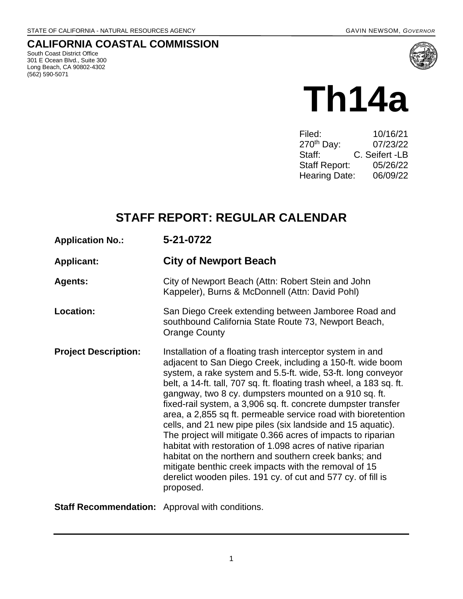## **CALIFORNIA COASTAL COMMISSION**

South Coast District Office 301 E Ocean Blvd., Suite 300 Long Beach, CA 90802-4302 (562) 590-5071



# **Th14a**

| Filed:                 | 10/16/21       |
|------------------------|----------------|
| 270 <sup>th</sup> Day: | 07/23/22       |
| Staff:                 | C. Seifert -LB |
| <b>Staff Report:</b>   | 05/26/22       |
| <b>Hearing Date:</b>   | 06/09/22       |
|                        |                |

# **STAFF REPORT: REGULAR CALENDAR**

| <b>Application No.:</b>                                | 5-21-0722                                                                                                                                                                                                                                                                                                                                                                                                                                                                                                                                                                                                                                                                                                                                                                                                                                               |
|--------------------------------------------------------|---------------------------------------------------------------------------------------------------------------------------------------------------------------------------------------------------------------------------------------------------------------------------------------------------------------------------------------------------------------------------------------------------------------------------------------------------------------------------------------------------------------------------------------------------------------------------------------------------------------------------------------------------------------------------------------------------------------------------------------------------------------------------------------------------------------------------------------------------------|
| <b>Applicant:</b>                                      | <b>City of Newport Beach</b>                                                                                                                                                                                                                                                                                                                                                                                                                                                                                                                                                                                                                                                                                                                                                                                                                            |
| <b>Agents:</b>                                         | City of Newport Beach (Attn: Robert Stein and John<br>Kappeler), Burns & McDonnell (Attn: David Pohl)                                                                                                                                                                                                                                                                                                                                                                                                                                                                                                                                                                                                                                                                                                                                                   |
| <b>Location:</b>                                       | San Diego Creek extending between Jamboree Road and<br>southbound California State Route 73, Newport Beach,<br><b>Orange County</b>                                                                                                                                                                                                                                                                                                                                                                                                                                                                                                                                                                                                                                                                                                                     |
| <b>Project Description:</b>                            | Installation of a floating trash interceptor system in and<br>adjacent to San Diego Creek, including a 150-ft. wide boom<br>system, a rake system and 5.5-ft. wide, 53-ft. long conveyor<br>belt, a 14-ft. tall, 707 sq. ft. floating trash wheel, a 183 sq. ft.<br>gangway, two 8 cy. dumpsters mounted on a 910 sq. ft.<br>fixed-rail system, a 3,906 sq. ft. concrete dumpster transfer<br>area, a 2,855 sq ft. permeable service road with bioretention<br>cells, and 21 new pipe piles (six landside and 15 aquatic).<br>The project will mitigate 0.366 acres of impacts to riparian<br>habitat with restoration of 1.098 acres of native riparian<br>habitat on the northern and southern creek banks; and<br>mitigate benthic creek impacts with the removal of 15<br>derelict wooden piles. 191 cy. of cut and 577 cy. of fill is<br>proposed. |
| <b>Staff Recommendation:</b> Approval with conditions. |                                                                                                                                                                                                                                                                                                                                                                                                                                                                                                                                                                                                                                                                                                                                                                                                                                                         |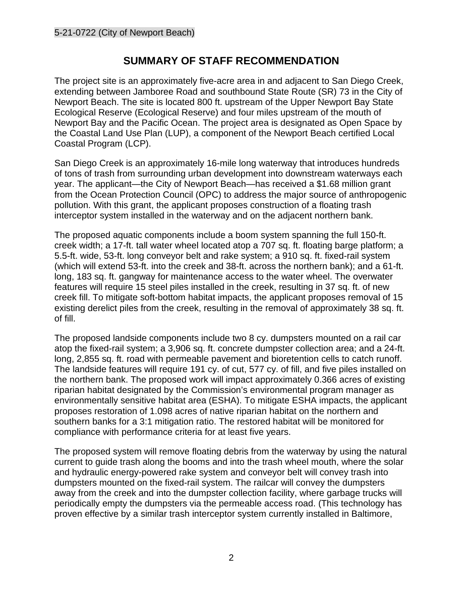## **SUMMARY OF STAFF RECOMMENDATION**

The project site is an approximately five-acre area in and adjacent to San Diego Creek, extending between Jamboree Road and southbound State Route (SR) 73 in the City of Newport Beach. The site is located 800 ft. upstream of the Upper Newport Bay State Ecological Reserve (Ecological Reserve) and four miles upstream of the mouth of Newport Bay and the Pacific Ocean. The project area is designated as Open Space by the Coastal Land Use Plan (LUP), a component of the Newport Beach certified Local Coastal Program (LCP).

San Diego Creek is an approximately 16-mile long waterway that introduces hundreds of tons of trash from surrounding urban development into downstream waterways each year. The applicant—the City of Newport Beach—has received a \$1.68 million grant from the Ocean Protection Council (OPC) to address the major source of anthropogenic pollution. With this grant, the applicant proposes construction of a floating trash interceptor system installed in the waterway and on the adjacent northern bank.

The proposed aquatic components include a boom system spanning the full 150-ft. creek width; a 17-ft. tall water wheel located atop a 707 sq. ft. floating barge platform; a 5.5-ft. wide, 53-ft. long conveyor belt and rake system; a 910 sq. ft. fixed-rail system (which will extend 53-ft. into the creek and 38-ft. across the northern bank); and a 61-ft. long, 183 sq. ft. gangway for maintenance access to the water wheel. The overwater features will require 15 steel piles installed in the creek, resulting in 37 sq. ft. of new creek fill. To mitigate soft-bottom habitat impacts, the applicant proposes removal of 15 existing derelict piles from the creek, resulting in the removal of approximately 38 sq. ft. of fill.

The proposed landside components include two 8 cy. dumpsters mounted on a rail car atop the fixed-rail system; a 3,906 sq. ft. concrete dumpster collection area; and a 24-ft. long, 2,855 sq. ft. road with permeable pavement and bioretention cells to catch runoff. The landside features will require 191 cy. of cut, 577 cy. of fill, and five piles installed on the northern bank. The proposed work will impact approximately 0.366 acres of existing riparian habitat designated by the Commission's environmental program manager as environmentally sensitive habitat area (ESHA). To mitigate ESHA impacts, the applicant proposes restoration of 1.098 acres of native riparian habitat on the northern and southern banks for a 3:1 mitigation ratio. The restored habitat will be monitored for compliance with performance criteria for at least five years.

The proposed system will remove floating debris from the waterway by using the natural current to guide trash along the booms and into the trash wheel mouth, where the solar and hydraulic energy-powered rake system and conveyor belt will convey trash into dumpsters mounted on the fixed-rail system. The railcar will convey the dumpsters away from the creek and into the dumpster collection facility, where garbage trucks will periodically empty the dumpsters via the permeable access road. (This technology has proven effective by a similar trash interceptor system currently installed in Baltimore,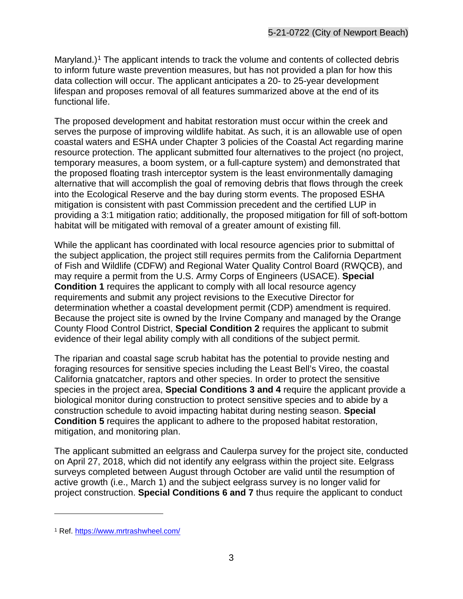Maryland.)<sup>[1](#page-2-0)</sup> The applicant intends to track the volume and contents of collected debris to inform future waste prevention measures, but has not provided a plan for how this data collection will occur. The applicant anticipates a 20- to 25-year development lifespan and proposes removal of all features summarized above at the end of its functional life.

The proposed development and habitat restoration must occur within the creek and serves the purpose of improving wildlife habitat. As such, it is an allowable use of open coastal waters and ESHA under Chapter 3 policies of the Coastal Act regarding marine resource protection. The applicant submitted four alternatives to the project (no project, temporary measures, a boom system, or a full-capture system) and demonstrated that the proposed floating trash interceptor system is the least environmentally damaging alternative that will accomplish the goal of removing debris that flows through the creek into the Ecological Reserve and the bay during storm events. The proposed ESHA mitigation is consistent with past Commission precedent and the certified LUP in providing a 3:1 mitigation ratio; additionally, the proposed mitigation for fill of soft-bottom habitat will be mitigated with removal of a greater amount of existing fill.

While the applicant has coordinated with local resource agencies prior to submittal of the subject application, the project still requires permits from the California Department of Fish and Wildlife (CDFW) and Regional Water Quality Control Board (RWQCB), and may require a permit from the U.S. Army Corps of Engineers (USACE). **Special Condition 1** requires the applicant to comply with all local resource agency requirements and submit any project revisions to the Executive Director for determination whether a coastal development permit (CDP) amendment is required. Because the project site is owned by the Irvine Company and managed by the Orange County Flood Control District, **Special Condition 2** requires the applicant to submit evidence of their legal ability comply with all conditions of the subject permit.

The riparian and coastal sage scrub habitat has the potential to provide nesting and foraging resources for sensitive species including the Least Bell's Vireo, the coastal California gnatcatcher, raptors and other species. In order to protect the sensitive species in the project area, **Special Conditions 3 and 4** require the applicant provide a biological monitor during construction to protect sensitive species and to abide by a construction schedule to avoid impacting habitat during nesting season. **Special Condition 5** requires the applicant to adhere to the proposed habitat restoration, mitigation, and monitoring plan.

The applicant submitted an eelgrass and Caulerpa survey for the project site, conducted on April 27, 2018, which did not identify any eelgrass within the project site. Eelgrass surveys completed between August through October are valid until the resumption of active growth (i.e., March 1) and the subject eelgrass survey is no longer valid for project construction. **Special Conditions 6 and 7** thus require the applicant to conduct

<span id="page-2-0"></span><sup>1</sup> Ref.<https://www.mrtrashwheel.com/>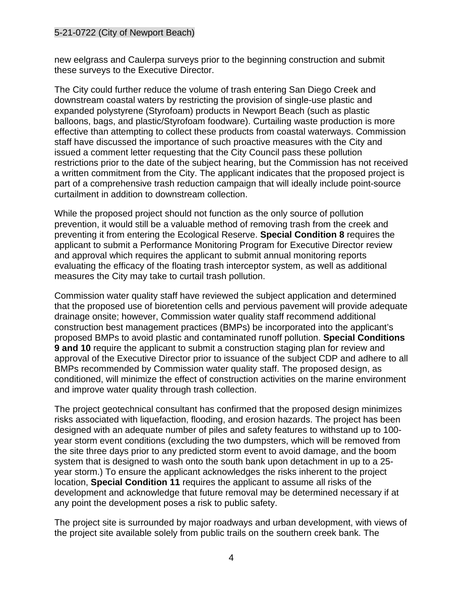new eelgrass and Caulerpa surveys prior to the beginning construction and submit these surveys to the Executive Director.

The City could further reduce the volume of trash entering San Diego Creek and downstream coastal waters by restricting the provision of single-use plastic and expanded polystyrene (Styrofoam) products in Newport Beach (such as plastic balloons, bags, and plastic/Styrofoam foodware). Curtailing waste production is more effective than attempting to collect these products from coastal waterways. Commission staff have discussed the importance of such proactive measures with the City and issued a comment letter requesting that the City Council pass these pollution restrictions prior to the date of the subject hearing, but the Commission has not received a written commitment from the City. The applicant indicates that the proposed project is part of a comprehensive trash reduction campaign that will ideally include point-source curtailment in addition to downstream collection.

While the proposed project should not function as the only source of pollution prevention, it would still be a valuable method of removing trash from the creek and preventing it from entering the Ecological Reserve. **Special Condition 8** requires the applicant to submit a Performance Monitoring Program for Executive Director review and approval which requires the applicant to submit annual monitoring reports evaluating the efficacy of the floating trash interceptor system, as well as additional measures the City may take to curtail trash pollution.

Commission water quality staff have reviewed the subject application and determined that the proposed use of bioretention cells and pervious pavement will provide adequate drainage onsite; however, Commission water quality staff recommend additional construction best management practices (BMPs) be incorporated into the applicant's proposed BMPs to avoid plastic and contaminated runoff pollution. **Special Conditions 9 and 10** require the applicant to submit a construction staging plan for review and approval of the Executive Director prior to issuance of the subject CDP and adhere to all BMPs recommended by Commission water quality staff. The proposed design, as conditioned, will minimize the effect of construction activities on the marine environment and improve water quality through trash collection.

The project geotechnical consultant has confirmed that the proposed design minimizes risks associated with liquefaction, flooding, and erosion hazards. The project has been designed with an adequate number of piles and safety features to withstand up to 100 year storm event conditions (excluding the two dumpsters, which will be removed from the site three days prior to any predicted storm event to avoid damage, and the boom system that is designed to wash onto the south bank upon detachment in up to a 25 year storm.) To ensure the applicant acknowledges the risks inherent to the project location, **Special Condition 11** requires the applicant to assume all risks of the development and acknowledge that future removal may be determined necessary if at any point the development poses a risk to public safety.

The project site is surrounded by major roadways and urban development, with views of the project site available solely from public trails on the southern creek bank. The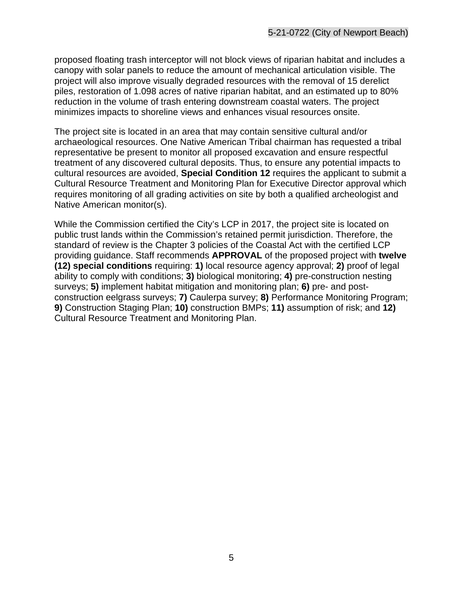proposed floating trash interceptor will not block views of riparian habitat and includes a canopy with solar panels to reduce the amount of mechanical articulation visible. The project will also improve visually degraded resources with the removal of 15 derelict piles, restoration of 1.098 acres of native riparian habitat, and an estimated up to 80% reduction in the volume of trash entering downstream coastal waters. The project minimizes impacts to shoreline views and enhances visual resources onsite.

The project site is located in an area that may contain sensitive cultural and/or archaeological resources. One Native American Tribal chairman has requested a tribal representative be present to monitor all proposed excavation and ensure respectful treatment of any discovered cultural deposits. Thus, to ensure any potential impacts to cultural resources are avoided, **Special Condition 12** requires the applicant to submit a Cultural Resource Treatment and Monitoring Plan for Executive Director approval which requires monitoring of all grading activities on site by both a qualified archeologist and Native American monitor(s).

While the Commission certified the City's LCP in 2017, the project site is located on public trust lands within the Commission's retained permit jurisdiction. Therefore, the standard of review is the Chapter 3 policies of the Coastal Act with the certified LCP providing guidance. Staff recommends **APPROVAL** of the proposed project with **twelve (12) special conditions** requiring: **1)** local resource agency approval; **2)** proof of legal ability to comply with conditions; **3)** biological monitoring; **4)** pre-construction nesting surveys; **5)** implement habitat mitigation and monitoring plan; **6)** pre- and postconstruction eelgrass surveys; **7)** Caulerpa survey; **8)** Performance Monitoring Program; **9)** Construction Staging Plan; **10)** construction BMPs; **11)** assumption of risk; and **12)** Cultural Resource Treatment and Monitoring Plan.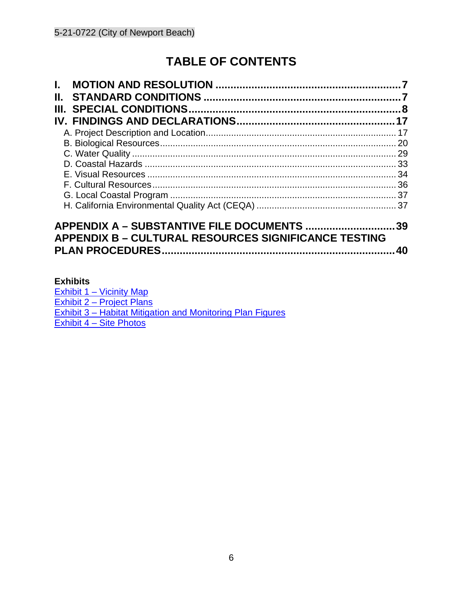# **TABLE OF CONTENTS**

| L.                                                          |    |
|-------------------------------------------------------------|----|
| Н.                                                          |    |
| Ш.                                                          |    |
|                                                             |    |
|                                                             |    |
|                                                             |    |
|                                                             |    |
|                                                             |    |
|                                                             |    |
|                                                             |    |
|                                                             |    |
|                                                             |    |
|                                                             |    |
| APPENDIX A - SUBSTANTIVE FILE DOCUMENTS 39                  |    |
| <b>APPENDIX B - CULTURAL RESOURCES SIGNIFICANCE TESTING</b> |    |
|                                                             | 40 |

#### **[Exhibits](https://documents.coastal.ca.gov/reports/2020/7/w14d/w14d-7-2020-exhibits.pdf)**

[Exhibit 1 – Vicinity Map](https://documents.coastal.ca.gov/reports/2022/6/Th14a/Th14a-6-2022-exhibits.pdf) [Exhibit 2 – Project Plans](https://documents.coastal.ca.gov/reports/2022/6/Th14a/Th14a-6-2022-exhibits.pdf) [Exhibit 3 – Habitat Mitigation and Monitoring Plan Figures](https://documents.coastal.ca.gov/reports/2022/6/Th14a/Th14a-6-2022-exhibits.pdf)  [Exhibit 4 – Site Photos](https://documents.coastal.ca.gov/reports/2022/6/Th14a/Th14a-6-2022-exhibits.pdf)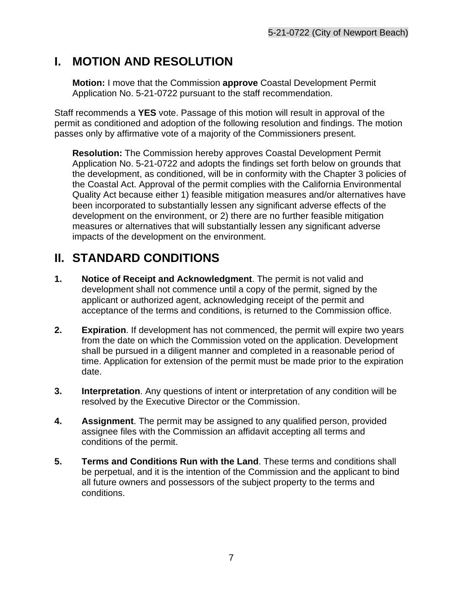# <span id="page-6-0"></span>**I. MOTION AND RESOLUTION**

**Motion:** I move that the Commission **approve** Coastal Development Permit Application No. 5-21-0722 pursuant to the staff recommendation.

Staff recommends a **YES** vote. Passage of this motion will result in approval of the permit as conditioned and adoption of the following resolution and findings. The motion passes only by affirmative vote of a majority of the Commissioners present.

**Resolution:** The Commission hereby approves Coastal Development Permit Application No. 5-21-0722 and adopts the findings set forth below on grounds that the development, as conditioned, will be in conformity with the Chapter 3 policies of the Coastal Act. Approval of the permit complies with the California Environmental Quality Act because either 1) feasible mitigation measures and/or alternatives have been incorporated to substantially lessen any significant adverse effects of the development on the environment, or 2) there are no further feasible mitigation measures or alternatives that will substantially lessen any significant adverse impacts of the development on the environment.

# <span id="page-6-1"></span>**II. STANDARD CONDITIONS**

- **1. Notice of Receipt and Acknowledgment**. The permit is not valid and development shall not commence until a copy of the permit, signed by the applicant or authorized agent, acknowledging receipt of the permit and acceptance of the terms and conditions, is returned to the Commission office.
- **2. Expiration**. If development has not commenced, the permit will expire two years from the date on which the Commission voted on the application. Development shall be pursued in a diligent manner and completed in a reasonable period of time. Application for extension of the permit must be made prior to the expiration date.
- **3. Interpretation**. Any questions of intent or interpretation of any condition will be resolved by the Executive Director or the Commission.
- **4. Assignment**. The permit may be assigned to any qualified person, provided assignee files with the Commission an affidavit accepting all terms and conditions of the permit.
- **5. Terms and Conditions Run with the Land**. These terms and conditions shall be perpetual, and it is the intention of the Commission and the applicant to bind all future owners and possessors of the subject property to the terms and conditions.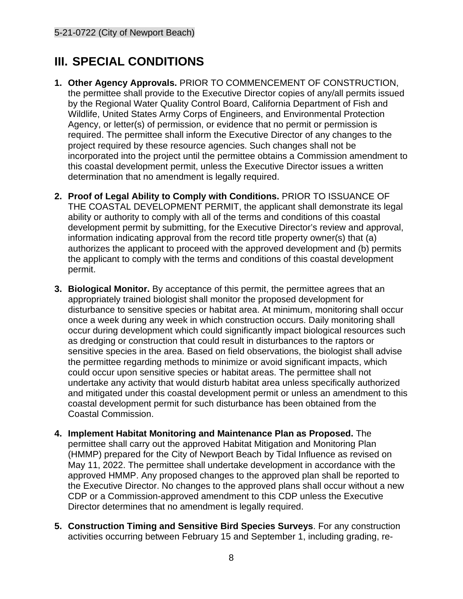# <span id="page-7-0"></span>**III. SPECIAL CONDITIONS**

- **1. Other Agency Approvals.** PRIOR TO COMMENCEMENT OF CONSTRUCTION, the permittee shall provide to the Executive Director copies of any/all permits issued by the Regional Water Quality Control Board, California Department of Fish and Wildlife, United States Army Corps of Engineers, and Environmental Protection Agency, or letter(s) of permission, or evidence that no permit or permission is required. The permittee shall inform the Executive Director of any changes to the project required by these resource agencies. Such changes shall not be incorporated into the project until the permittee obtains a Commission amendment to this coastal development permit, unless the Executive Director issues a written determination that no amendment is legally required.
- **2. Proof of Legal Ability to Comply with Conditions.** PRIOR TO ISSUANCE OF THE COASTAL DEVELOPMENT PERMIT, the applicant shall demonstrate its legal ability or authority to comply with all of the terms and conditions of this coastal development permit by submitting, for the Executive Director's review and approval, information indicating approval from the record title property owner(s) that (a) authorizes the applicant to proceed with the approved development and (b) permits the applicant to comply with the terms and conditions of this coastal development permit.
- **3. Biological Monitor.** By acceptance of this permit, the permittee agrees that an appropriately trained biologist shall monitor the proposed development for disturbance to sensitive species or habitat area. At minimum, monitoring shall occur once a week during any week in which construction occurs. Daily monitoring shall occur during development which could significantly impact biological resources such as dredging or construction that could result in disturbances to the raptors or sensitive species in the area. Based on field observations, the biologist shall advise the permittee regarding methods to minimize or avoid significant impacts, which could occur upon sensitive species or habitat areas. The permittee shall not undertake any activity that would disturb habitat area unless specifically authorized and mitigated under this coastal development permit or unless an amendment to this coastal development permit for such disturbance has been obtained from the Coastal Commission.
- **4. Implement Habitat Monitoring and Maintenance Plan as Proposed.** The permittee shall carry out the approved Habitat Mitigation and Monitoring Plan (HMMP) prepared for the City of Newport Beach by Tidal Influence as revised on May 11, 2022. The permittee shall undertake development in accordance with the approved HMMP. Any proposed changes to the approved plan shall be reported to the Executive Director. No changes to the approved plans shall occur without a new CDP or a Commission-approved amendment to this CDP unless the Executive Director determines that no amendment is legally required.
- **5. Construction Timing and Sensitive Bird Species Surveys**. For any construction activities occurring between February 15 and September 1, including grading, re-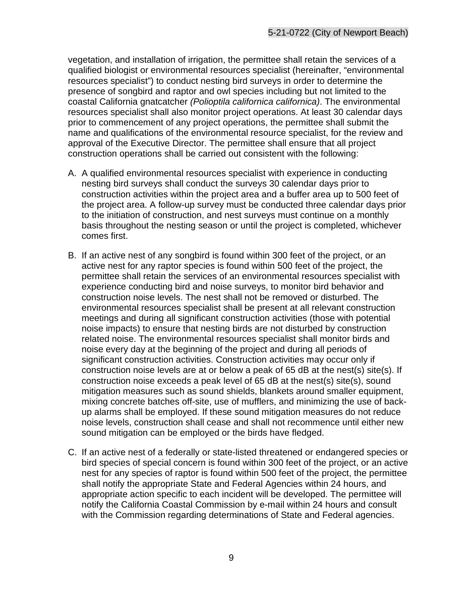vegetation, and installation of irrigation, the permittee shall retain the services of a qualified biologist or environmental resources specialist (hereinafter, "environmental resources specialist") to conduct nesting bird surveys in order to determine the presence of songbird and raptor and owl species including but not limited to the coastal California gnatcatcher *(Polioptila californica californica)*. The environmental resources specialist shall also monitor project operations. At least 30 calendar days prior to commencement of any project operations, the permittee shall submit the name and qualifications of the environmental resource specialist, for the review and approval of the Executive Director. The permittee shall ensure that all project construction operations shall be carried out consistent with the following:

- A. A qualified environmental resources specialist with experience in conducting nesting bird surveys shall conduct the surveys 30 calendar days prior to construction activities within the project area and a buffer area up to 500 feet of the project area. A follow-up survey must be conducted three calendar days prior to the initiation of construction, and nest surveys must continue on a monthly basis throughout the nesting season or until the project is completed, whichever comes first.
- B. If an active nest of any songbird is found within 300 feet of the project, or an active nest for any raptor species is found within 500 feet of the project, the permittee shall retain the services of an environmental resources specialist with experience conducting bird and noise surveys, to monitor bird behavior and construction noise levels. The nest shall not be removed or disturbed. The environmental resources specialist shall be present at all relevant construction meetings and during all significant construction activities (those with potential noise impacts) to ensure that nesting birds are not disturbed by construction related noise. The environmental resources specialist shall monitor birds and noise every day at the beginning of the project and during all periods of significant construction activities. Construction activities may occur only if construction noise levels are at or below a peak of 65 dB at the nest(s) site(s). If construction noise exceeds a peak level of 65 dB at the nest(s) site(s), sound mitigation measures such as sound shields, blankets around smaller equipment, mixing concrete batches off-site, use of mufflers, and minimizing the use of backup alarms shall be employed. If these sound mitigation measures do not reduce noise levels, construction shall cease and shall not recommence until either new sound mitigation can be employed or the birds have fledged.
- C. If an active nest of a federally or state-listed threatened or endangered species or bird species of special concern is found within 300 feet of the project, or an active nest for any species of raptor is found within 500 feet of the project, the permittee shall notify the appropriate State and Federal Agencies within 24 hours, and appropriate action specific to each incident will be developed. The permittee will notify the California Coastal Commission by e-mail within 24 hours and consult with the Commission regarding determinations of State and Federal agencies.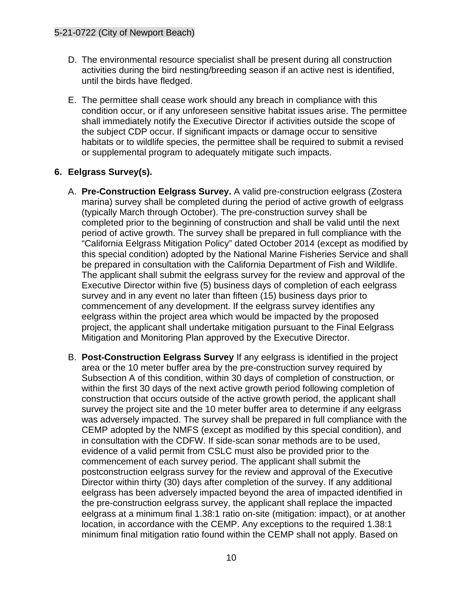- D. The environmental resource specialist shall be present during all construction activities during the bird nesting/breeding season if an active nest is identified, until the birds have fledged.
- E. The permittee shall cease work should any breach in compliance with this condition occur, or if any unforeseen sensitive habitat issues arise. The permittee shall immediately notify the Executive Director if activities outside the scope of the subject CDP occur. If significant impacts or damage occur to sensitive habitats or to wildlife species, the permittee shall be required to submit a revised or supplemental program to adequately mitigate such impacts.

#### **6. Eelgrass Survey(s).**

- A. **Pre-Construction Eelgrass Survey.** A valid pre-construction eelgrass (Zostera marina) survey shall be completed during the period of active growth of eelgrass (typically March through October). The pre-construction survey shall be completed prior to the beginning of construction and shall be valid until the next period of active growth. The survey shall be prepared in full compliance with the "California Eelgrass Mitigation Policy" dated October 2014 (except as modified by this special condition) adopted by the National Marine Fisheries Service and shall be prepared in consultation with the California Department of Fish and Wildlife. The applicant shall submit the eelgrass survey for the review and approval of the Executive Director within five (5) business days of completion of each eelgrass survey and in any event no later than fifteen (15) business days prior to commencement of any development. If the eelgrass survey identifies any eelgrass within the project area which would be impacted by the proposed project, the applicant shall undertake mitigation pursuant to the Final Eelgrass Mitigation and Monitoring Plan approved by the Executive Director.
- B. **Post-Construction Eelgrass Survey** If any eelgrass is identified in the project area or the 10 meter buffer area by the pre-construction survey required by Subsection A of this condition, within 30 days of completion of construction, or within the first 30 days of the next active growth period following completion of construction that occurs outside of the active growth period, the applicant shall survey the project site and the 10 meter buffer area to determine if any eelgrass was adversely impacted. The survey shall be prepared in full compliance with the CEMP adopted by the NMFS (except as modified by this special condition), and in consultation with the CDFW. If side-scan sonar methods are to be used, evidence of a valid permit from CSLC must also be provided prior to the commencement of each survey period. The applicant shall submit the postconstruction eelgrass survey for the review and approval of the Executive Director within thirty (30) days after completion of the survey. If any additional eelgrass has been adversely impacted beyond the area of impacted identified in the pre-construction eelgrass survey, the applicant shall replace the impacted eelgrass at a minimum final 1.38:1 ratio on-site (mitigation: impact), or at another location, in accordance with the CEMP. Any exceptions to the required 1.38:1 minimum final mitigation ratio found within the CEMP shall not apply. Based on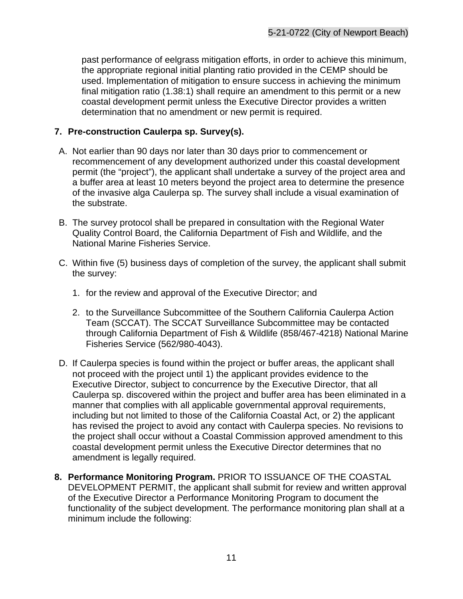past performance of eelgrass mitigation efforts, in order to achieve this minimum, the appropriate regional initial planting ratio provided in the CEMP should be used. Implementation of mitigation to ensure success in achieving the minimum final mitigation ratio (1.38:1) shall require an amendment to this permit or a new coastal development permit unless the Executive Director provides a written determination that no amendment or new permit is required.

#### **7. Pre-construction Caulerpa sp. Survey(s).**

- A. Not earlier than 90 days nor later than 30 days prior to commencement or recommencement of any development authorized under this coastal development permit (the "project"), the applicant shall undertake a survey of the project area and a buffer area at least 10 meters beyond the project area to determine the presence of the invasive alga Caulerpa sp. The survey shall include a visual examination of the substrate.
- B. The survey protocol shall be prepared in consultation with the Regional Water Quality Control Board, the California Department of Fish and Wildlife, and the National Marine Fisheries Service.
- C. Within five (5) business days of completion of the survey, the applicant shall submit the survey:
	- 1. for the review and approval of the Executive Director; and
	- 2. to the Surveillance Subcommittee of the Southern California Caulerpa Action Team (SCCAT). The SCCAT Surveillance Subcommittee may be contacted through California Department of Fish & Wildlife (858/467-4218) National Marine Fisheries Service (562/980-4043).
- D. If Caulerpa species is found within the project or buffer areas, the applicant shall not proceed with the project until 1) the applicant provides evidence to the Executive Director, subject to concurrence by the Executive Director, that all Caulerpa sp. discovered within the project and buffer area has been eliminated in a manner that complies with all applicable governmental approval requirements, including but not limited to those of the California Coastal Act, or 2) the applicant has revised the project to avoid any contact with Caulerpa species. No revisions to the project shall occur without a Coastal Commission approved amendment to this coastal development permit unless the Executive Director determines that no amendment is legally required.
- **8. Performance Monitoring Program.** PRIOR TO ISSUANCE OF THE COASTAL DEVELOPMENT PERMIT, the applicant shall submit for review and written approval of the Executive Director a Performance Monitoring Program to document the functionality of the subject development. The performance monitoring plan shall at a minimum include the following: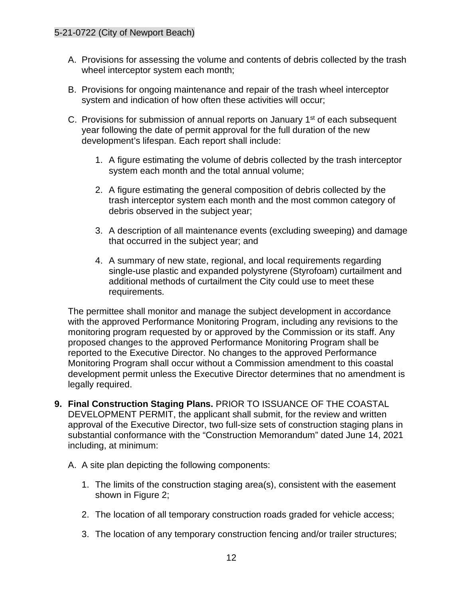- A. Provisions for assessing the volume and contents of debris collected by the trash wheel interceptor system each month;
- B. Provisions for ongoing maintenance and repair of the trash wheel interceptor system and indication of how often these activities will occur;
- C. Provisions for submission of annual reports on January  $1<sup>st</sup>$  of each subsequent year following the date of permit approval for the full duration of the new development's lifespan. Each report shall include:
	- 1. A figure estimating the volume of debris collected by the trash interceptor system each month and the total annual volume;
	- 2. A figure estimating the general composition of debris collected by the trash interceptor system each month and the most common category of debris observed in the subject year;
	- 3. A description of all maintenance events (excluding sweeping) and damage that occurred in the subject year; and
	- 4. A summary of new state, regional, and local requirements regarding single-use plastic and expanded polystyrene (Styrofoam) curtailment and additional methods of curtailment the City could use to meet these requirements.

The permittee shall monitor and manage the subject development in accordance with the approved Performance Monitoring Program, including any revisions to the monitoring program requested by or approved by the Commission or its staff. Any proposed changes to the approved Performance Monitoring Program shall be reported to the Executive Director. No changes to the approved Performance Monitoring Program shall occur without a Commission amendment to this coastal development permit unless the Executive Director determines that no amendment is legally required.

- **9. Final Construction Staging Plans.** PRIOR TO ISSUANCE OF THE COASTAL DEVELOPMENT PERMIT, the applicant shall submit, for the review and written approval of the Executive Director, two full-size sets of construction staging plans in substantial conformance with the "Construction Memorandum" dated June 14, 2021 including, at minimum:
	- A. A site plan depicting the following components:
		- 1. The limits of the construction staging area(s), consistent with the easement shown in Figure 2;
		- 2. The location of all temporary construction roads graded for vehicle access;
		- 3. The location of any temporary construction fencing and/or trailer structures;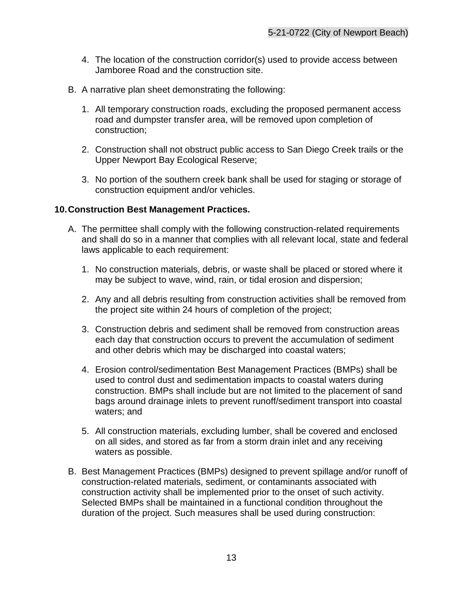- 4. The location of the construction corridor(s) used to provide access between Jamboree Road and the construction site.
- B. A narrative plan sheet demonstrating the following:
	- 1. All temporary construction roads, excluding the proposed permanent access road and dumpster transfer area, will be removed upon completion of construction;
	- 2. Construction shall not obstruct public access to San Diego Creek trails or the Upper Newport Bay Ecological Reserve;
	- 3. No portion of the southern creek bank shall be used for staging or storage of construction equipment and/or vehicles.

#### **10.Construction Best Management Practices.**

- A. The permittee shall comply with the following construction-related requirements and shall do so in a manner that complies with all relevant local, state and federal laws applicable to each requirement:
	- 1. No construction materials, debris, or waste shall be placed or stored where it may be subject to wave, wind, rain, or tidal erosion and dispersion;
	- 2. Any and all debris resulting from construction activities shall be removed from the project site within 24 hours of completion of the project;
	- 3. Construction debris and sediment shall be removed from construction areas each day that construction occurs to prevent the accumulation of sediment and other debris which may be discharged into coastal waters;
	- 4. Erosion control/sedimentation Best Management Practices (BMPs) shall be used to control dust and sedimentation impacts to coastal waters during construction. BMPs shall include but are not limited to the placement of sand bags around drainage inlets to prevent runoff/sediment transport into coastal waters; and
	- 5. All construction materials, excluding lumber, shall be covered and enclosed on all sides, and stored as far from a storm drain inlet and any receiving waters as possible.
- B. Best Management Practices (BMPs) designed to prevent spillage and/or runoff of construction-related materials, sediment, or contaminants associated with construction activity shall be implemented prior to the onset of such activity. Selected BMPs shall be maintained in a functional condition throughout the duration of the project. Such measures shall be used during construction: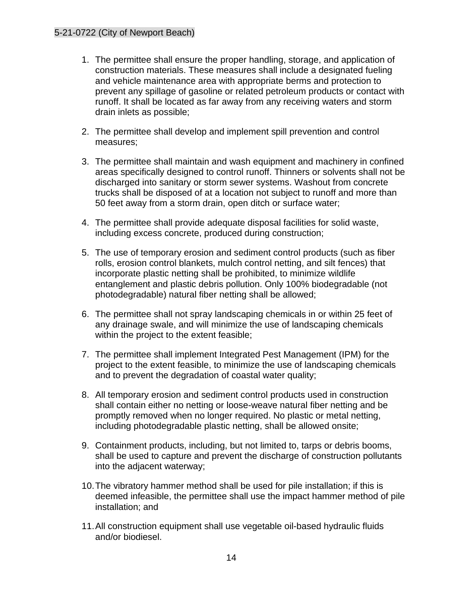- 1. The permittee shall ensure the proper handling, storage, and application of construction materials. These measures shall include a designated fueling and vehicle maintenance area with appropriate berms and protection to prevent any spillage of gasoline or related petroleum products or contact with runoff. It shall be located as far away from any receiving waters and storm drain inlets as possible;
- 2. The permittee shall develop and implement spill prevention and control measures;
- 3. The permittee shall maintain and wash equipment and machinery in confined areas specifically designed to control runoff. Thinners or solvents shall not be discharged into sanitary or storm sewer systems. Washout from concrete trucks shall be disposed of at a location not subject to runoff and more than 50 feet away from a storm drain, open ditch or surface water;
- 4. The permittee shall provide adequate disposal facilities for solid waste, including excess concrete, produced during construction;
- 5. The use of temporary erosion and sediment control products (such as fiber rolls, erosion control blankets, mulch control netting, and silt fences) that incorporate plastic netting shall be prohibited, to minimize wildlife entanglement and plastic debris pollution. Only 100% biodegradable (not photodegradable) natural fiber netting shall be allowed;
- 6. The permittee shall not spray landscaping chemicals in or within 25 feet of any drainage swale, and will minimize the use of landscaping chemicals within the project to the extent feasible;
- 7. The permittee shall implement Integrated Pest Management (IPM) for the project to the extent feasible, to minimize the use of landscaping chemicals and to prevent the degradation of coastal water quality;
- 8. All temporary erosion and sediment control products used in construction shall contain either no netting or loose-weave natural fiber netting and be promptly removed when no longer required. No plastic or metal netting, including photodegradable plastic netting, shall be allowed onsite;
- 9. Containment products, including, but not limited to, tarps or debris booms, shall be used to capture and prevent the discharge of construction pollutants into the adjacent waterway;
- 10.The vibratory hammer method shall be used for pile installation; if this is deemed infeasible, the permittee shall use the impact hammer method of pile installation; and
- 11.All construction equipment shall use vegetable oil-based hydraulic fluids and/or biodiesel.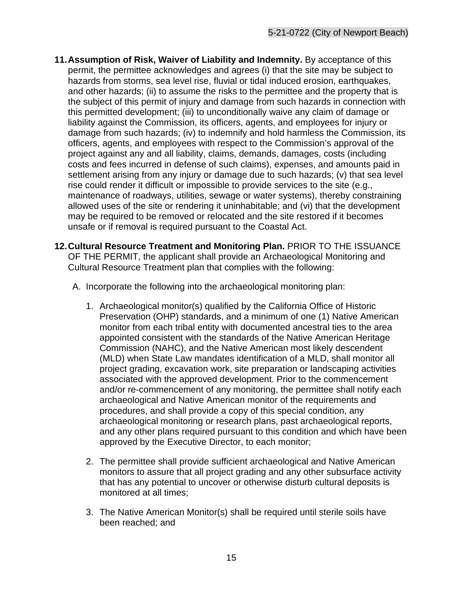- **11.Assumption of Risk, Waiver of Liability and Indemnity.** By acceptance of this permit, the permittee acknowledges and agrees (i) that the site may be subject to hazards from storms, sea level rise, fluvial or tidal induced erosion, earthquakes, and other hazards; (ii) to assume the risks to the permittee and the property that is the subject of this permit of injury and damage from such hazards in connection with this permitted development; (iii) to unconditionally waive any claim of damage or liability against the Commission, its officers, agents, and employees for injury or damage from such hazards; (iv) to indemnify and hold harmless the Commission, its officers, agents, and employees with respect to the Commission's approval of the project against any and all liability, claims, demands, damages, costs (including costs and fees incurred in defense of such claims), expenses, and amounts paid in settlement arising from any injury or damage due to such hazards; (v) that sea level rise could render it difficult or impossible to provide services to the site (e.g., maintenance of roadways, utilities, sewage or water systems), thereby constraining allowed uses of the site or rendering it uninhabitable; and (vi) that the development may be required to be removed or relocated and the site restored if it becomes unsafe or if removal is required pursuant to the Coastal Act.
- **12.Cultural Resource Treatment and Monitoring Plan.** PRIOR TO THE ISSUANCE OF THE PERMIT, the applicant shall provide an Archaeological Monitoring and Cultural Resource Treatment plan that complies with the following:
	- A. Incorporate the following into the archaeological monitoring plan:
		- 1. Archaeological monitor(s) qualified by the California Office of Historic Preservation (OHP) standards, and a minimum of one (1) Native American monitor from each tribal entity with documented ancestral ties to the area appointed consistent with the standards of the Native American Heritage Commission (NAHC), and the Native American most likely descendent (MLD) when State Law mandates identification of a MLD, shall monitor all project grading, excavation work, site preparation or landscaping activities associated with the approved development. Prior to the commencement and/or re-commencement of any monitoring, the permittee shall notify each archaeological and Native American monitor of the requirements and procedures, and shall provide a copy of this special condition, any archaeological monitoring or research plans, past archaeological reports, and any other plans required pursuant to this condition and which have been approved by the Executive Director, to each monitor;
		- 2. The permittee shall provide sufficient archaeological and Native American monitors to assure that all project grading and any other subsurface activity that has any potential to uncover or otherwise disturb cultural deposits is monitored at all times;
		- 3. The Native American Monitor(s) shall be required until sterile soils have been reached; and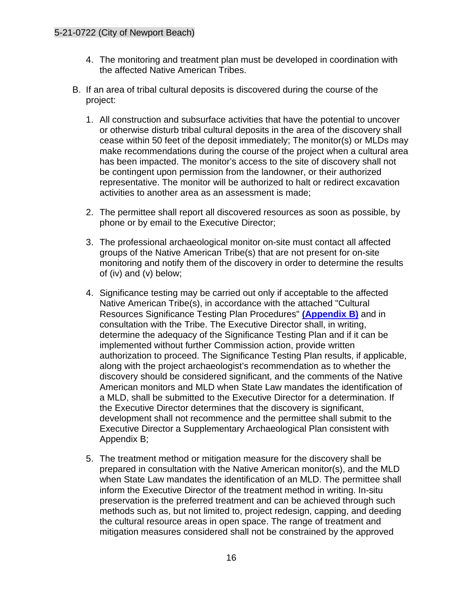- 4. The monitoring and treatment plan must be developed in coordination with the affected Native American Tribes.
- B. If an area of tribal cultural deposits is discovered during the course of the project:
	- 1. All construction and subsurface activities that have the potential to uncover or otherwise disturb tribal cultural deposits in the area of the discovery shall cease within 50 feet of the deposit immediately; The monitor(s) or MLDs may make recommendations during the course of the project when a cultural area has been impacted. The monitor's access to the site of discovery shall not be contingent upon permission from the landowner, or their authorized representative. The monitor will be authorized to halt or redirect excavation activities to another area as an assessment is made;
	- 2. The permittee shall report all discovered resources as soon as possible, by phone or by email to the Executive Director;
	- 3. The professional archaeological monitor on-site must contact all affected groups of the Native American Tribe(s) that are not present for on-site monitoring and notify them of the discovery in order to determine the results of (iv) and (v) below;
	- 4. Significance testing may be carried out only if acceptable to the affected Native American Tribe(s), in accordance with the attached "Cultural Resources Significance Testing Plan Procedures" **[\(Appendix B\)](#page-39-0)** and in consultation with the Tribe. The Executive Director shall, in writing, determine the adequacy of the Significance Testing Plan and if it can be implemented without further Commission action, provide written authorization to proceed. The Significance Testing Plan results, if applicable, along with the project archaeologist's recommendation as to whether the discovery should be considered significant, and the comments of the Native American monitors and MLD when State Law mandates the identification of a MLD, shall be submitted to the Executive Director for a determination. If the Executive Director determines that the discovery is significant, development shall not recommence and the permittee shall submit to the Executive Director a Supplementary Archaeological Plan consistent with Appendix B;
	- 5. The treatment method or mitigation measure for the discovery shall be prepared in consultation with the Native American monitor(s), and the MLD when State Law mandates the identification of an MLD. The permittee shall inform the Executive Director of the treatment method in writing. In-situ preservation is the preferred treatment and can be achieved through such methods such as, but not limited to, project redesign, capping, and deeding the cultural resource areas in open space. The range of treatment and mitigation measures considered shall not be constrained by the approved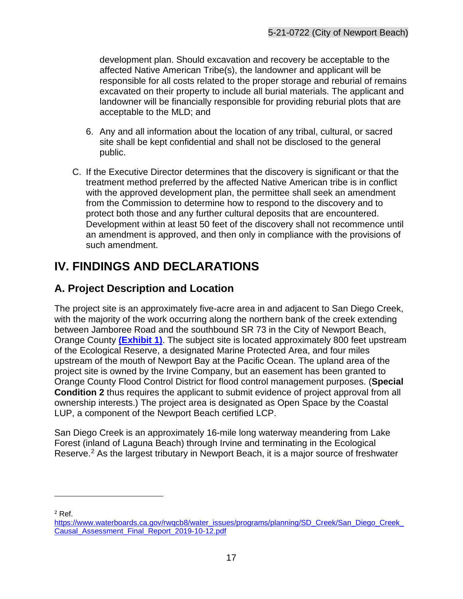development plan. Should excavation and recovery be acceptable to the affected Native American Tribe(s), the landowner and applicant will be responsible for all costs related to the proper storage and reburial of remains excavated on their property to include all burial materials. The applicant and landowner will be financially responsible for providing reburial plots that are acceptable to the MLD; and

- 6. Any and all information about the location of any tribal, cultural, or sacred site shall be kept confidential and shall not be disclosed to the general public.
- C. If the Executive Director determines that the discovery is significant or that the treatment method preferred by the affected Native American tribe is in conflict with the approved development plan, the permittee shall seek an amendment from the Commission to determine how to respond to the discovery and to protect both those and any further cultural deposits that are encountered. Development within at least 50 feet of the discovery shall not recommence until an amendment is approved, and then only in compliance with the provisions of such amendment.

# <span id="page-16-0"></span>**IV. FINDINGS AND DECLARATIONS**

## <span id="page-16-1"></span>**A. Project Description and Location**

The project site is an approximately five-acre area in and adjacent to San Diego Creek, with the majority of the work occurring along the northern bank of the creek extending between Jamboree Road and the southbound SR 73 in the City of Newport Beach, Orange County **[\(Exhibit 1\)](https://documents.coastal.ca.gov/reports/2022/6/Th14a/Th14a-6-2022-exhibits.pdf)**. The subject site is located approximately 800 feet upstream of the Ecological Reserve, a designated Marine Protected Area, and four miles upstream of the mouth of Newport Bay at the Pacific Ocean. The upland area of the project site is owned by the Irvine Company, but an easement has been granted to Orange County Flood Control District for flood control management purposes. (**Special Condition 2** thus requires the applicant to submit evidence of project approval from all ownership interests.) The project area is designated as Open Space by the Coastal LUP, a component of the Newport Beach certified LCP.

San Diego Creek is an approximately 16-mile long waterway meandering from Lake Forest (inland of Laguna Beach) through Irvine and terminating in the Ecological Reserve.<sup>2</sup> As the largest tributary in Newport Beach, it is a major source of freshwater

<span id="page-16-2"></span><sup>2</sup> Ref.

https://www.waterboards.ca.gov/rwqcb8/water\_issues/programs/planning/SD\_Creek/San\_Diego\_Creek [Causal\\_Assessment\\_Final\\_Report\\_2019-10-12.pdf](https://www.waterboards.ca.gov/rwqcb8/water_issues/programs/planning/SD_Creek/San_Diego_Creek_Causal_Assessment_Final_Report_2019-10-12.pdf)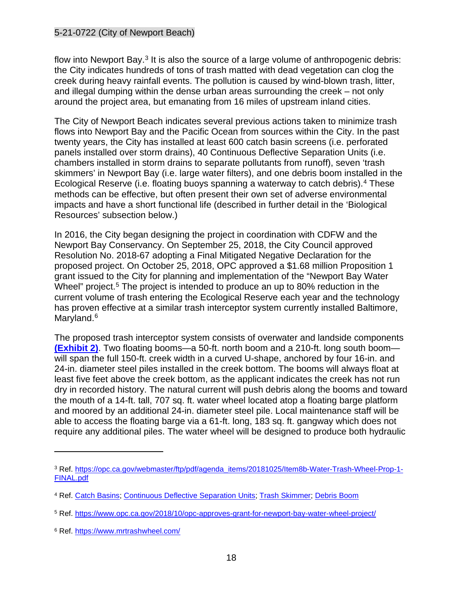flow into Newport Bay.<sup>[3](#page-17-0)</sup> It is also the source of a large volume of anthropogenic debris: the City indicates hundreds of tons of trash matted with dead vegetation can clog the creek during heavy rainfall events. The pollution is caused by wind-blown trash, litter, and illegal dumping within the dense urban areas surrounding the creek – not only around the project area, but emanating from 16 miles of upstream inland cities.

The City of Newport Beach indicates several previous actions taken to minimize trash flows into Newport Bay and the Pacific Ocean from sources within the City. In the past twenty years, the City has installed at least 600 catch basin screens (i.e. perforated panels installed over storm drains), 40 Continuous Deflective Separation Units (i.e. chambers installed in storm drains to separate pollutants from runoff), seven 'trash skimmers' in Newport Bay (i.e. large water filters), and one debris boom installed in the Ecological Reserve (i.e. floating buoys spanning a waterway to catch debris).[4](#page-17-1) These methods can be effective, but often present their own set of adverse environmental impacts and have a short functional life (described in further detail in the 'Biological Resources' subsection below.)

In 2016, the City began designing the project in coordination with CDFW and the Newport Bay Conservancy. On September 25, 2018, the City Council approved Resolution No. 2018-67 adopting a Final Mitigated Negative Declaration for the proposed project. On October 25, 2018, OPC approved a \$1.68 million Proposition 1 grant issued to the City for planning and implementation of the "Newport Bay Water Wheel" project.<sup>[5](#page-17-2)</sup> The project is intended to produce an up to 80% reduction in the current volume of trash entering the Ecological Reserve each year and the technology has proven effective at a similar trash interceptor system currently installed Baltimore, Maryland.<sup>[6](#page-17-3)</sup>

The proposed trash interceptor system consists of overwater and landside components **[\(Exhibit 2\)](https://documents.coastal.ca.gov/reports/2022/6/Th14a/Th14a-6-2022-exhibits.pdf)**. Two floating booms—a 50-ft. north boom and a 210-ft. long south boom will span the full 150-ft. creek width in a curved U-shape, anchored by four 16-in. and 24-in. diameter steel piles installed in the creek bottom. The booms will always float at least five feet above the creek bottom, as the applicant indicates the creek has not run dry in recorded history. The natural current will push debris along the booms and toward the mouth of a 14-ft. tall, 707 sq. ft. water wheel located atop a floating barge platform and moored by an additional 24-in. diameter steel pile. Local maintenance staff will be able to access the floating barge via a 61-ft. long, 183 sq. ft. gangway which does not require any additional piles. The water wheel will be designed to produce both hydraulic

<span id="page-17-0"></span><sup>3</sup> Ref. [https://opc.ca.gov/webmaster/ftp/pdf/agenda\\_items/20181025/Item8b-Water-Trash-Wheel-Prop-1-](https://opc.ca.gov/webmaster/ftp/pdf/agenda_items/20181025/Item8b-Water-Trash-Wheel-Prop-1-FINAL.pdf) [FINAL.pdf](https://opc.ca.gov/webmaster/ftp/pdf/agenda_items/20181025/Item8b-Water-Trash-Wheel-Prop-1-FINAL.pdf)

<span id="page-17-1"></span><sup>4</sup> Ref. [Catch Basins;](https://www.waterboards.ca.gov/santaana/water_issues/programs/tmdl/docs/newport/Special_Studies/2007_City_of_Newport_BMP_report.pdf) [Continuous Deflective Separation Units;](https://www.researchgate.net/publication/233115049_Efficiency_of_a_continuous_deflective_separation_CDS_unit_in_removing_contaminants_from_urban_stormwater) [Trash Skimmer;](https://soundwaters.org/trash-skimmer/#:%7E:text=The%20trash%20skimmer%20looks%20like,almost%20invisible%20microplastics%20%E2%80%93%20and%20absorbing) [Debris Boom](https://www.elastec.com/products/floating-boom-barriers/trash-debris-boom/)

<span id="page-17-2"></span><sup>5</sup> Ref.<https://www.opc.ca.gov/2018/10/opc-approves-grant-for-newport-bay-water-wheel-project/>

<span id="page-17-3"></span><sup>6</sup> Ref.<https://www.mrtrashwheel.com/>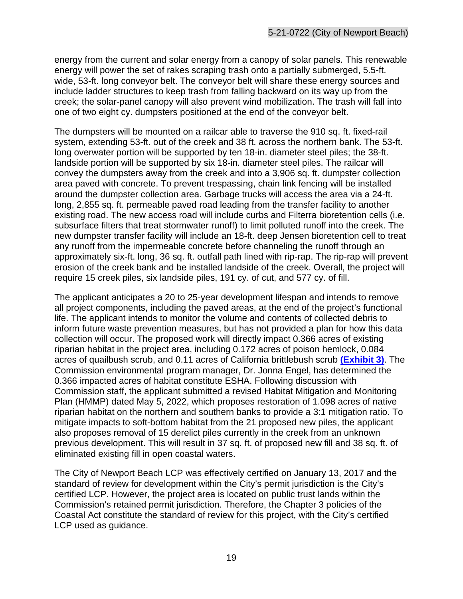energy from the current and solar energy from a canopy of solar panels. This renewable energy will power the set of rakes scraping trash onto a partially submerged, 5.5-ft. wide, 53-ft. long conveyor belt. The conveyor belt will share these energy sources and include ladder structures to keep trash from falling backward on its way up from the creek; the solar-panel canopy will also prevent wind mobilization. The trash will fall into one of two eight cy. dumpsters positioned at the end of the conveyor belt.

The dumpsters will be mounted on a railcar able to traverse the 910 sq. ft. fixed-rail system, extending 53-ft. out of the creek and 38 ft. across the northern bank. The 53-ft. long overwater portion will be supported by ten 18-in. diameter steel piles; the 38-ft. landside portion will be supported by six 18-in. diameter steel piles. The railcar will convey the dumpsters away from the creek and into a 3,906 sq. ft. dumpster collection area paved with concrete. To prevent trespassing, chain link fencing will be installed around the dumpster collection area. Garbage trucks will access the area via a 24-ft. long, 2,855 sq. ft. permeable paved road leading from the transfer facility to another existing road. The new access road will include curbs and Filterra bioretention cells (i.e. subsurface filters that treat stormwater runoff) to limit polluted runoff into the creek. The new dumpster transfer facility will include an 18-ft. deep Jensen bioretention cell to treat any runoff from the impermeable concrete before channeling the runoff through an approximately six-ft. long, 36 sq. ft. outfall path lined with rip-rap. The rip-rap will prevent erosion of the creek bank and be installed landside of the creek. Overall, the project will require 15 creek piles, six landside piles, 191 cy. of cut, and 577 cy. of fill.

The applicant anticipates a 20 to 25-year development lifespan and intends to remove all project components, including the paved areas, at the end of the project's functional life. The applicant intends to monitor the volume and contents of collected debris to inform future waste prevention measures, but has not provided a plan for how this data collection will occur. The proposed work will directly impact 0.366 acres of existing riparian habitat in the project area, including 0.172 acres of poison hemlock, 0.084 acres of quailbush scrub, and 0.11 acres of California brittlebush scrub **[\(Exhibit 3\)](https://documents.coastal.ca.gov/reports/2022/6/Th14a/Th14a-6-2022-exhibits.pdf)**. The Commission environmental program manager, Dr. Jonna Engel, has determined the 0.366 impacted acres of habitat constitute ESHA. Following discussion with Commission staff, the applicant submitted a revised Habitat Mitigation and Monitoring Plan (HMMP) dated May 5, 2022, which proposes restoration of 1.098 acres of native riparian habitat on the northern and southern banks to provide a 3:1 mitigation ratio. To mitigate impacts to soft-bottom habitat from the 21 proposed new piles, the applicant also proposes removal of 15 derelict piles currently in the creek from an unknown previous development. This will result in 37 sq. ft. of proposed new fill and 38 sq. ft. of eliminated existing fill in open coastal waters.

The City of Newport Beach LCP was effectively certified on January 13, 2017 and the standard of review for development within the City's permit jurisdiction is the City's certified LCP. However, the project area is located on public trust lands within the Commission's retained permit jurisdiction. Therefore, the Chapter 3 policies of the Coastal Act constitute the standard of review for this project, with the City's certified LCP used as guidance.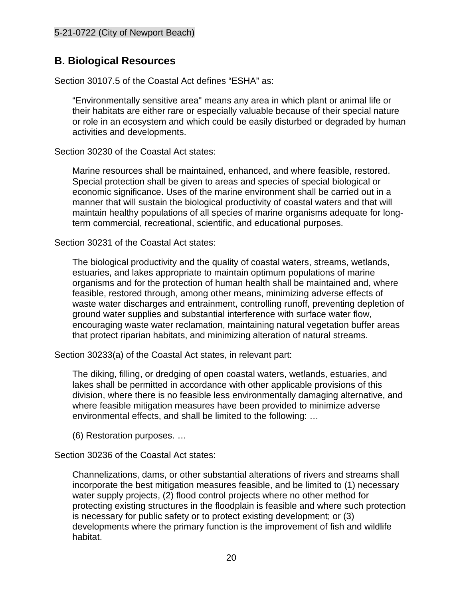## <span id="page-19-0"></span>**B. Biological Resources**

Section 30107.5 of the Coastal Act defines "ESHA" as:

"Environmentally sensitive area" means any area in which plant or animal life or their habitats are either rare or especially valuable because of their special nature or role in an ecosystem and which could be easily disturbed or degraded by human activities and developments.

Section 30230 of the Coastal Act states:

Marine resources shall be maintained, enhanced, and where feasible, restored. Special protection shall be given to areas and species of special biological or economic significance. Uses of the marine environment shall be carried out in a manner that will sustain the biological productivity of coastal waters and that will maintain healthy populations of all species of marine organisms adequate for longterm commercial, recreational, scientific, and educational purposes.

Section 30231 of the Coastal Act states:

The biological productivity and the quality of coastal waters, streams, wetlands, estuaries, and lakes appropriate to maintain optimum populations of marine organisms and for the protection of human health shall be maintained and, where feasible, restored through, among other means, minimizing adverse effects of waste water discharges and entrainment, controlling runoff, preventing depletion of ground water supplies and substantial interference with surface water flow, encouraging waste water reclamation, maintaining natural vegetation buffer areas that protect riparian habitats, and minimizing alteration of natural streams.

Section 30233(a) of the Coastal Act states, in relevant part:

The diking, filling, or dredging of open coastal waters, wetlands, estuaries, and lakes shall be permitted in accordance with other applicable provisions of this division, where there is no feasible less environmentally damaging alternative, and where feasible mitigation measures have been provided to minimize adverse environmental effects, and shall be limited to the following: …

(6) Restoration purposes. …

Section 30236 of the Coastal Act states:

Channelizations, dams, or other substantial alterations of rivers and streams shall incorporate the best mitigation measures feasible, and be limited to (1) necessary water supply projects, (2) flood control projects where no other method for protecting existing structures in the floodplain is feasible and where such protection is necessary for public safety or to protect existing development; or (3) developments where the primary function is the improvement of fish and wildlife habitat.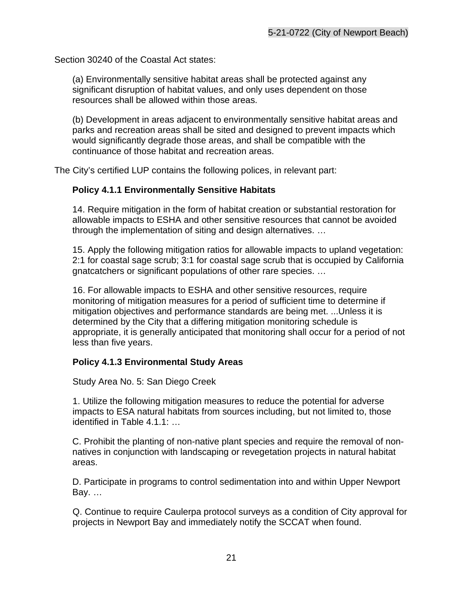Section 30240 of the Coastal Act states:

(a) Environmentally sensitive habitat areas shall be protected against any significant disruption of habitat values, and only uses dependent on those resources shall be allowed within those areas.

(b) Development in areas adjacent to environmentally sensitive habitat areas and parks and recreation areas shall be sited and designed to prevent impacts which would significantly degrade those areas, and shall be compatible with the continuance of those habitat and recreation areas.

The City's certified LUP contains the following polices, in relevant part:

#### **Policy 4.1.1 Environmentally Sensitive Habitats**

14. Require mitigation in the form of habitat creation or substantial restoration for allowable impacts to ESHA and other sensitive resources that cannot be avoided through the implementation of siting and design alternatives. …

15. Apply the following mitigation ratios for allowable impacts to upland vegetation: 2:1 for coastal sage scrub; 3:1 for coastal sage scrub that is occupied by California gnatcatchers or significant populations of other rare species. …

16. For allowable impacts to ESHA and other sensitive resources, require monitoring of mitigation measures for a period of sufficient time to determine if mitigation objectives and performance standards are being met. ...Unless it is determined by the City that a differing mitigation monitoring schedule is appropriate, it is generally anticipated that monitoring shall occur for a period of not less than five years.

#### **Policy 4.1.3 Environmental Study Areas**

Study Area No. 5: San Diego Creek

1. Utilize the following mitigation measures to reduce the potential for adverse impacts to ESA natural habitats from sources including, but not limited to, those identified in Table 4.1.1: …

C. Prohibit the planting of non-native plant species and require the removal of nonnatives in conjunction with landscaping or revegetation projects in natural habitat areas.

D. Participate in programs to control sedimentation into and within Upper Newport Bay. …

Q. Continue to require Caulerpa protocol surveys as a condition of City approval for projects in Newport Bay and immediately notify the SCCAT when found.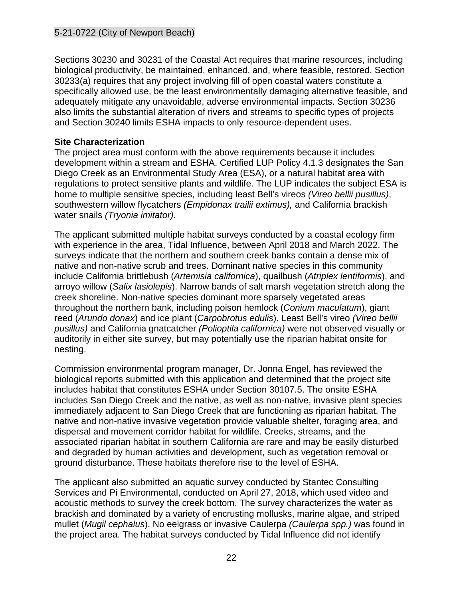Sections 30230 and 30231 of the Coastal Act requires that marine resources, including biological productivity, be maintained, enhanced, and, where feasible, restored. Section 30233(a) requires that any project involving fill of open coastal waters constitute a specifically allowed use, be the least environmentally damaging alternative feasible, and adequately mitigate any unavoidable, adverse environmental impacts. Section 30236 also limits the substantial alteration of rivers and streams to specific types of projects and Section 30240 limits ESHA impacts to only resource-dependent uses.

#### **Site Characterization**

The project area must conform with the above requirements because it includes development within a stream and ESHA. Certified LUP Policy 4.1.3 designates the San Diego Creek as an Environmental Study Area (ESA), or a natural habitat area with regulations to protect sensitive plants and wildlife. The LUP indicates the subject ESA is home to multiple sensitive species, including least Bell's vireos *(Vireo bellii pusillus)*, southwestern willow flycatchers *(Empidonax trailii extimus),* and California brackish water snails *(Tryonia imitator)*.

The applicant submitted multiple habitat surveys conducted by a coastal ecology firm with experience in the area, Tidal Influence, between April 2018 and March 2022. The surveys indicate that the northern and southern creek banks contain a dense mix of native and non-native scrub and trees. Dominant native species in this community include California brittlebush (*Artemisia californica*), quailbush (*Atriplex lentiformis*), and arroyo willow (*Salix lasiolepis*). Narrow bands of salt marsh vegetation stretch along the creek shoreline. Non-native species dominant more sparsely vegetated areas throughout the northern bank, including poison hemlock (*Conium maculatum*), giant reed (*Arundo donax*) and ice plant (*Carpobrotus edulis*). Least Bell's vireo *(Vireo bellii pusillus)* and California gnatcatcher *(Polioptila californica)* were not observed visually or auditorily in either site survey, but may potentially use the riparian habitat onsite for nesting.

Commission environmental program manager, Dr. Jonna Engel, has reviewed the biological reports submitted with this application and determined that the project site includes habitat that constitutes ESHA under Section 30107.5. The onsite ESHA includes San Diego Creek and the native, as well as non-native, invasive plant species immediately adjacent to San Diego Creek that are functioning as riparian habitat. The native and non-native invasive vegetation provide valuable shelter, foraging area, and dispersal and movement corridor habitat for wildlife. Creeks, streams, and the associated riparian habitat in southern California are rare and may be easily disturbed and degraded by human activities and development, such as vegetation removal or ground disturbance. These habitats therefore rise to the level of ESHA.

The applicant also submitted an aquatic survey conducted by Stantec Consulting Services and Pi Environmental, conducted on April 27, 2018, which used video and acoustic methods to survey the creek bottom. The survey characterizes the water as brackish and dominated by a variety of encrusting mollusks, marine algae, and striped mullet (*Mugil cephalus*). No eelgrass or invasive Caulerpa *(Caulerpa spp.)* was found in the project area. The habitat surveys conducted by Tidal Influence did not identify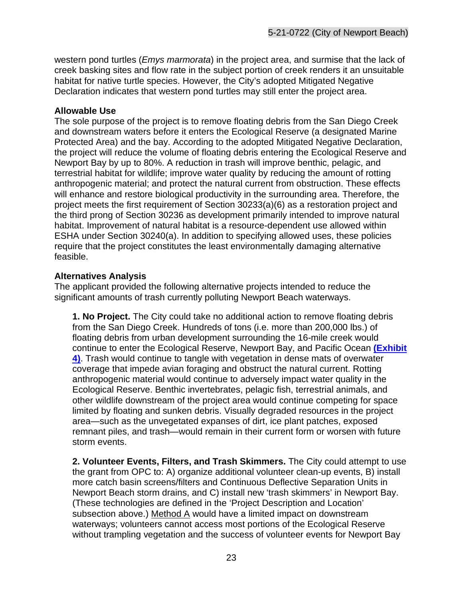western pond turtles (*Emys marmorata*) in the project area, and surmise that the lack of creek basking sites and flow rate in the subject portion of creek renders it an unsuitable habitat for native turtle species. However, the City's adopted Mitigated Negative Declaration indicates that western pond turtles may still enter the project area.

#### **Allowable Use**

The sole purpose of the project is to remove floating debris from the San Diego Creek and downstream waters before it enters the Ecological Reserve (a designated Marine Protected Area) and the bay. According to the adopted Mitigated Negative Declaration, the project will reduce the volume of floating debris entering the Ecological Reserve and Newport Bay by up to 80%. A reduction in trash will improve benthic, pelagic, and terrestrial habitat for wildlife; improve water quality by reducing the amount of rotting anthropogenic material; and protect the natural current from obstruction. These effects will enhance and restore biological productivity in the surrounding area. Therefore, the project meets the first requirement of Section 30233(a)(6) as a restoration project and the third prong of Section 30236 as development primarily intended to improve natural habitat. Improvement of natural habitat is a resource-dependent use allowed within ESHA under Section 30240(a). In addition to specifying allowed uses, these policies require that the project constitutes the least environmentally damaging alternative feasible.

#### **Alternatives Analysis**

The applicant provided the following alternative projects intended to reduce the significant amounts of trash currently polluting Newport Beach waterways.

**1. No Project.** The City could take no additional action to remove floating debris from the San Diego Creek. Hundreds of tons (i.e. more than 200,000 lbs.) of floating debris from urban development surrounding the 16-mile creek would continue to enter the Ecological Reserve, Newport Bay, and Pacific Ocean **[\(Exhibit](https://documents.coastal.ca.gov/reports/2022/6/Th14a/Th14a-6-2022-exhibits.pdf)  [4\)](https://documents.coastal.ca.gov/reports/2022/6/Th14a/Th14a-6-2022-exhibits.pdf)**. Trash would continue to tangle with vegetation in dense mats of overwater coverage that impede avian foraging and obstruct the natural current. Rotting anthropogenic material would continue to adversely impact water quality in the Ecological Reserve. Benthic invertebrates, pelagic fish, terrestrial animals, and other wildlife downstream of the project area would continue competing for space limited by floating and sunken debris. Visually degraded resources in the project area—such as the unvegetated expanses of dirt, ice plant patches, exposed remnant piles, and trash—would remain in their current form or worsen with future storm events.

**2. Volunteer Events, Filters, and Trash Skimmers.** The City could attempt to use the grant from OPC to: A) organize additional volunteer clean-up events, B) install more catch basin screens/filters and Continuous Deflective Separation Units in Newport Beach storm drains, and C) install new 'trash skimmers' in Newport Bay. (These technologies are defined in the 'Project Description and Location' subsection above.) Method A would have a limited impact on downstream waterways; volunteers cannot access most portions of the Ecological Reserve without trampling vegetation and the success of volunteer events for Newport Bay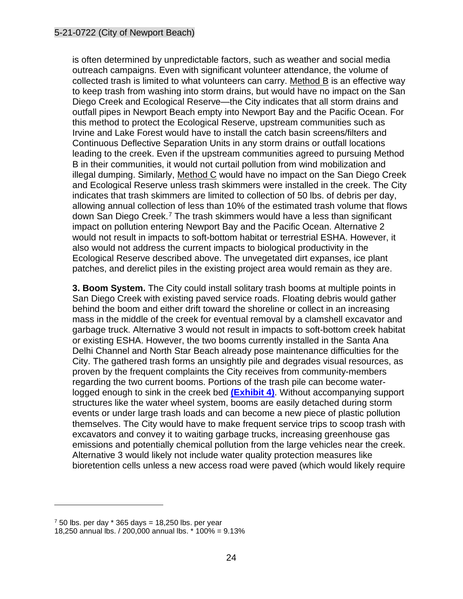is often determined by unpredictable factors, such as weather and social media outreach campaigns. Even with significant volunteer attendance, the volume of collected trash is limited to what volunteers can carry. Method B is an effective way to keep trash from washing into storm drains, but would have no impact on the San Diego Creek and Ecological Reserve—the City indicates that all storm drains and outfall pipes in Newport Beach empty into Newport Bay and the Pacific Ocean. For this method to protect the Ecological Reserve, upstream communities such as Irvine and Lake Forest would have to install the catch basin screens/filters and Continuous Deflective Separation Units in any storm drains or outfall locations leading to the creek. Even if the upstream communities agreed to pursuing Method B in their communities, it would not curtail pollution from wind mobilization and illegal dumping. Similarly, Method C would have no impact on the San Diego Creek and Ecological Reserve unless trash skimmers were installed in the creek. The City indicates that trash skimmers are limited to collection of 50 lbs. of debris per day, allowing annual collection of less than 10% of the estimated trash volume that flows down San Diego Creek.<sup>[7](#page-23-0)</sup> The trash skimmers would have a less than significant impact on pollution entering Newport Bay and the Pacific Ocean. Alternative 2 would not result in impacts to soft-bottom habitat or terrestrial ESHA. However, it also would not address the current impacts to biological productivity in the Ecological Reserve described above. The unvegetated dirt expanses, ice plant patches, and derelict piles in the existing project area would remain as they are.

**3. Boom System.** The City could install solitary trash booms at multiple points in San Diego Creek with existing paved service roads. Floating debris would gather behind the boom and either drift toward the shoreline or collect in an increasing mass in the middle of the creek for eventual removal by a clamshell excavator and garbage truck. Alternative 3 would not result in impacts to soft-bottom creek habitat or existing ESHA. However, the two booms currently installed in the Santa Ana Delhi Channel and North Star Beach already pose maintenance difficulties for the City. The gathered trash forms an unsightly pile and degrades visual resources, as proven by the frequent complaints the City receives from community-members regarding the two current booms. Portions of the trash pile can become waterlogged enough to sink in the creek bed **[\(Exhibit 4\)](https://documents.coastal.ca.gov/reports/2022/6/Th14a/Th14a-6-2022-exhibits.pdf)**. Without accompanying support structures like the water wheel system, booms are easily detached during storm events or under large trash loads and can become a new piece of plastic pollution themselves. The City would have to make frequent service trips to scoop trash with excavators and convey it to waiting garbage trucks, increasing greenhouse gas emissions and potentially chemical pollution from the large vehicles near the creek. Alternative 3 would likely not include water quality protection measures like bioretention cells unless a new access road were paved (which would likely require

<span id="page-23-0"></span> $750$  lbs. per day  $*365$  days = 18,250 lbs. per year

<sup>18,250</sup> annual lbs. / 200,000 annual lbs. \* 100% = 9.13%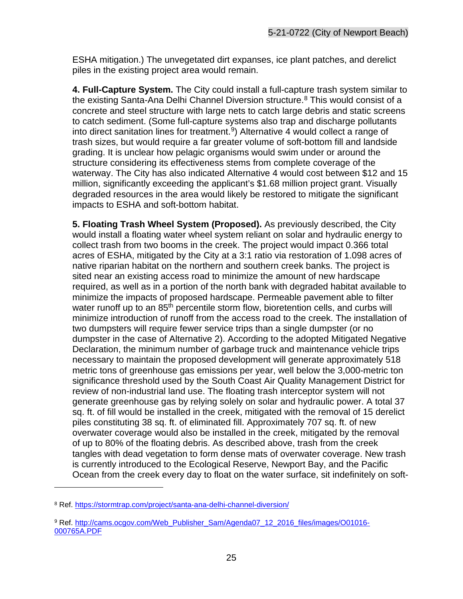ESHA mitigation.) The unvegetated dirt expanses, ice plant patches, and derelict piles in the existing project area would remain.

**4. Full-Capture System.** The City could install a full-capture trash system similar to the existing Santa-Ana Delhi Channel Diversion structure.<sup>[8](#page-24-0)</sup> This would consist of a concrete and steel structure with large nets to catch large debris and static screens to catch sediment. (Some full-capture systems also trap and discharge pollutants into direct sanitation lines for treatment. [9](#page-24-1)) Alternative 4 would collect a range of trash sizes, but would require a far greater volume of soft-bottom fill and landside grading. It is unclear how pelagic organisms would swim under or around the structure considering its effectiveness stems from complete coverage of the waterway. The City has also indicated Alternative 4 would cost between \$12 and 15 million, significantly exceeding the applicant's \$1.68 million project grant. Visually degraded resources in the area would likely be restored to mitigate the significant impacts to ESHA and soft-bottom habitat.

**5. Floating Trash Wheel System (Proposed).** As previously described, the City would install a floating water wheel system reliant on solar and hydraulic energy to collect trash from two booms in the creek. The project would impact 0.366 total acres of ESHA, mitigated by the City at a 3:1 ratio via restoration of 1.098 acres of native riparian habitat on the northern and southern creek banks. The project is sited near an existing access road to minimize the amount of new hardscape required, as well as in a portion of the north bank with degraded habitat available to minimize the impacts of proposed hardscape. Permeable pavement able to filter water runoff up to an 85<sup>th</sup> percentile storm flow, bioretention cells, and curbs will minimize introduction of runoff from the access road to the creek. The installation of two dumpsters will require fewer service trips than a single dumpster (or no dumpster in the case of Alternative 2). According to the adopted Mitigated Negative Declaration, the minimum number of garbage truck and maintenance vehicle trips necessary to maintain the proposed development will generate approximately 518 metric tons of greenhouse gas emissions per year, well below the 3,000-metric ton significance threshold used by the South Coast Air Quality Management District for review of non-industrial land use. The floating trash interceptor system will not generate greenhouse gas by relying solely on solar and hydraulic power. A total 37 sq. ft. of fill would be installed in the creek, mitigated with the removal of 15 derelict piles constituting 38 sq. ft. of eliminated fill. Approximately 707 sq. ft. of new overwater coverage would also be installed in the creek, mitigated by the removal of up to 80% of the floating debris. As described above, trash from the creek tangles with dead vegetation to form dense mats of overwater coverage. New trash is currently introduced to the Ecological Reserve, Newport Bay, and the Pacific Ocean from the creek every day to float on the water surface, sit indefinitely on soft-

<span id="page-24-0"></span><sup>8</sup> Ref.<https://stormtrap.com/project/santa-ana-delhi-channel-diversion/>

<span id="page-24-1"></span><sup>9</sup> Ref. [http://cams.ocgov.com/Web\\_Publisher\\_Sam/Agenda07\\_12\\_2016\\_files/images/O01016-](http://cams.ocgov.com/Web_Publisher_Sam/Agenda07_12_2016_files/images/O01016-000765A.PDF) [000765A.PDF](http://cams.ocgov.com/Web_Publisher_Sam/Agenda07_12_2016_files/images/O01016-000765A.PDF)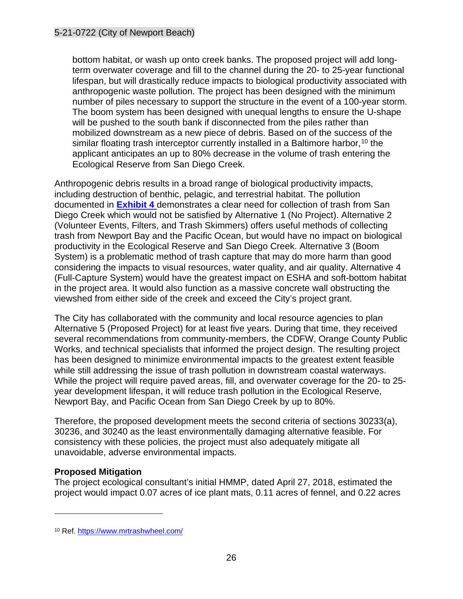bottom habitat, or wash up onto creek banks. The proposed project will add longterm overwater coverage and fill to the channel during the 20- to 25-year functional lifespan, but will drastically reduce impacts to biological productivity associated with anthropogenic waste pollution. The project has been designed with the minimum number of piles necessary to support the structure in the event of a 100-year storm. The boom system has been designed with unequal lengths to ensure the U-shape will be pushed to the south bank if disconnected from the piles rather than mobilized downstream as a new piece of debris. Based on of the success of the similar floating trash interceptor currently installed in a Baltimore harbor, [10](#page-25-0) the applicant anticipates an up to 80% decrease in the volume of trash entering the Ecological Reserve from San Diego Creek.

Anthropogenic debris results in a broad range of biological productivity impacts, including destruction of benthic, pelagic, and terrestrial habitat. The pollution documented in **[Exhibit 4](https://documents.coastal.ca.gov/reports/2022/6/Th14a/Th14a-6-2022-exhibits.pdf)** demonstrates a clear need for collection of trash from San Diego Creek which would not be satisfied by Alternative 1 (No Project). Alternative 2 (Volunteer Events, Filters, and Trash Skimmers) offers useful methods of collecting trash from Newport Bay and the Pacific Ocean, but would have no impact on biological productivity in the Ecological Reserve and San Diego Creek. Alternative 3 (Boom System) is a problematic method of trash capture that may do more harm than good considering the impacts to visual resources, water quality, and air quality. Alternative 4 (Full-Capture System) would have the greatest impact on ESHA and soft-bottom habitat in the project area. It would also function as a massive concrete wall obstructing the viewshed from either side of the creek and exceed the City's project grant.

The City has collaborated with the community and local resource agencies to plan Alternative 5 (Proposed Project) for at least five years. During that time, they received several recommendations from community-members, the CDFW, Orange County Public Works, and technical specialists that informed the project design. The resulting project has been designed to minimize environmental impacts to the greatest extent feasible while still addressing the issue of trash pollution in downstream coastal waterways. While the project will require paved areas, fill, and overwater coverage for the 20- to 25 year development lifespan, it will reduce trash pollution in the Ecological Reserve, Newport Bay, and Pacific Ocean from San Diego Creek by up to 80%.

Therefore, the proposed development meets the second criteria of sections 30233(a), 30236, and 30240 as the least environmentally damaging alternative feasible. For consistency with these policies, the project must also adequately mitigate all unavoidable, adverse environmental impacts.

#### **Proposed Mitigation**

The project ecological consultant's initial HMMP, dated April 27, 2018, estimated the project would impact 0.07 acres of ice plant mats, 0.11 acres of fennel, and 0.22 acres

<span id="page-25-0"></span><sup>10</sup> Ref.<https://www.mrtrashwheel.com/>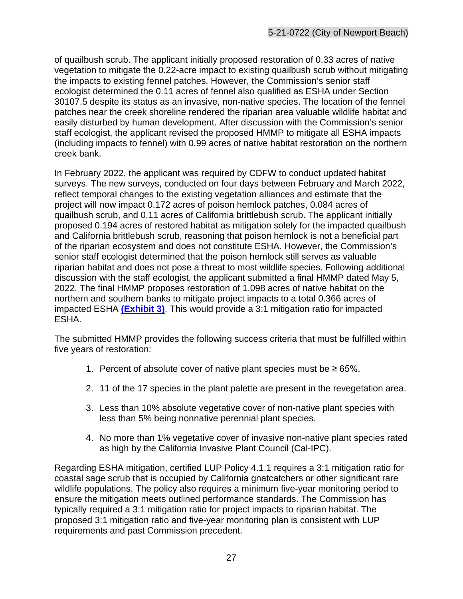of quailbush scrub. The applicant initially proposed restoration of 0.33 acres of native vegetation to mitigate the 0.22-acre impact to existing quailbush scrub without mitigating the impacts to existing fennel patches. However, the Commission's senior staff ecologist determined the 0.11 acres of fennel also qualified as ESHA under Section 30107.5 despite its status as an invasive, non-native species. The location of the fennel patches near the creek shoreline rendered the riparian area valuable wildlife habitat and easily disturbed by human development. After discussion with the Commission's senior staff ecologist, the applicant revised the proposed HMMP to mitigate all ESHA impacts (including impacts to fennel) with 0.99 acres of native habitat restoration on the northern creek bank.

In February 2022, the applicant was required by CDFW to conduct updated habitat surveys. The new surveys, conducted on four days between February and March 2022, reflect temporal changes to the existing vegetation alliances and estimate that the project will now impact 0.172 acres of poison hemlock patches, 0.084 acres of quailbush scrub, and 0.11 acres of California brittlebush scrub. The applicant initially proposed 0.194 acres of restored habitat as mitigation solely for the impacted quailbush and California brittlebush scrub, reasoning that poison hemlock is not a beneficial part of the riparian ecosystem and does not constitute ESHA. However, the Commission's senior staff ecologist determined that the poison hemlock still serves as valuable riparian habitat and does not pose a threat to most wildlife species. Following additional discussion with the staff ecologist, the applicant submitted a final HMMP dated May 5, 2022. The final HMMP proposes restoration of 1.098 acres of native habitat on the northern and southern banks to mitigate project impacts to a total 0.366 acres of impacted ESHA **[\(Exhibit 3\)](https://documents.coastal.ca.gov/reports/2022/6/Th14a/Th14a-6-2022-exhibits.pdf)**. This would provide a 3:1 mitigation ratio for impacted ESHA.

The submitted HMMP provides the following success criteria that must be fulfilled within five years of restoration:

- 1. Percent of absolute cover of native plant species must be ≥ 65%.
- 2. 11 of the 17 species in the plant palette are present in the revegetation area.
- 3. Less than 10% absolute vegetative cover of non-native plant species with less than 5% being nonnative perennial plant species.
- 4. No more than 1% vegetative cover of invasive non-native plant species rated as high by the California Invasive Plant Council (Cal-IPC).

Regarding ESHA mitigation, certified LUP Policy 4.1.1 requires a 3:1 mitigation ratio for coastal sage scrub that is occupied by California gnatcatchers or other significant rare wildlife populations. The policy also requires a minimum five-year monitoring period to ensure the mitigation meets outlined performance standards. The Commission has typically required a 3:1 mitigation ratio for project impacts to riparian habitat. The proposed 3:1 mitigation ratio and five-year monitoring plan is consistent with LUP requirements and past Commission precedent.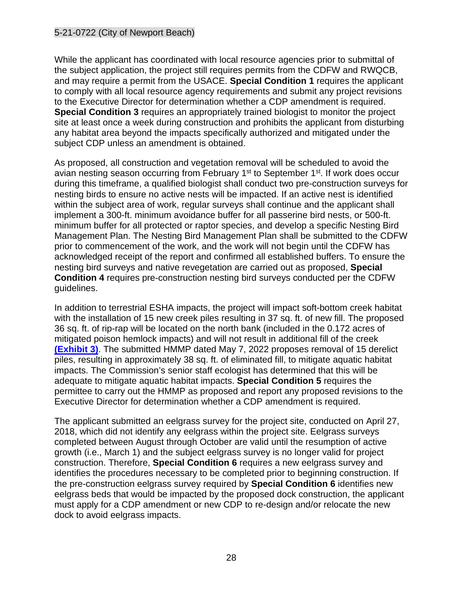While the applicant has coordinated with local resource agencies prior to submittal of the subject application, the project still requires permits from the CDFW and RWQCB, and may require a permit from the USACE. **Special Condition 1** requires the applicant to comply with all local resource agency requirements and submit any project revisions to the Executive Director for determination whether a CDP amendment is required. **Special Condition 3** requires an appropriately trained biologist to monitor the project site at least once a week during construction and prohibits the applicant from disturbing any habitat area beyond the impacts specifically authorized and mitigated under the subject CDP unless an amendment is obtained.

As proposed, all construction and vegetation removal will be scheduled to avoid the avian nesting season occurring from February 1<sup>st</sup> to September 1<sup>st</sup>. If work does occur during this timeframe, a qualified biologist shall conduct two pre-construction surveys for nesting birds to ensure no active nests will be impacted. If an active nest is identified within the subject area of work, regular surveys shall continue and the applicant shall implement a 300-ft. minimum avoidance buffer for all passerine bird nests, or 500-ft. minimum buffer for all protected or raptor species, and develop a specific Nesting Bird Management Plan. The Nesting Bird Management Plan shall be submitted to the CDFW prior to commencement of the work, and the work will not begin until the CDFW has acknowledged receipt of the report and confirmed all established buffers. To ensure the nesting bird surveys and native revegetation are carried out as proposed, **Special Condition 4** requires pre-construction nesting bird surveys conducted per the CDFW guidelines.

In addition to terrestrial ESHA impacts, the project will impact soft-bottom creek habitat with the installation of 15 new creek piles resulting in 37 sq. ft. of new fill. The proposed 36 sq. ft. of rip-rap will be located on the north bank (included in the 0.172 acres of mitigated poison hemlock impacts) and will not result in additional fill of the creek **[\(Exhibit 3\)](https://documents.coastal.ca.gov/reports/2022/6/Th14a/Th14a-6-2022-exhibits.pdf)**. The submitted HMMP dated May 7, 2022 proposes removal of 15 derelict piles, resulting in approximately 38 sq. ft. of eliminated fill, to mitigate aquatic habitat impacts. The Commission's senior staff ecologist has determined that this will be adequate to mitigate aquatic habitat impacts. **Special Condition 5** requires the permittee to carry out the HMMP as proposed and report any proposed revisions to the Executive Director for determination whether a CDP amendment is required.

The applicant submitted an eelgrass survey for the project site, conducted on April 27, 2018, which did not identify any eelgrass within the project site. Eelgrass surveys completed between August through October are valid until the resumption of active growth (i.e., March 1) and the subject eelgrass survey is no longer valid for project construction. Therefore, **Special Condition 6** requires a new eelgrass survey and identifies the procedures necessary to be completed prior to beginning construction. If the pre-construction eelgrass survey required by **Special Condition 6** identifies new eelgrass beds that would be impacted by the proposed dock construction, the applicant must apply for a CDP amendment or new CDP to re-design and/or relocate the new dock to avoid eelgrass impacts.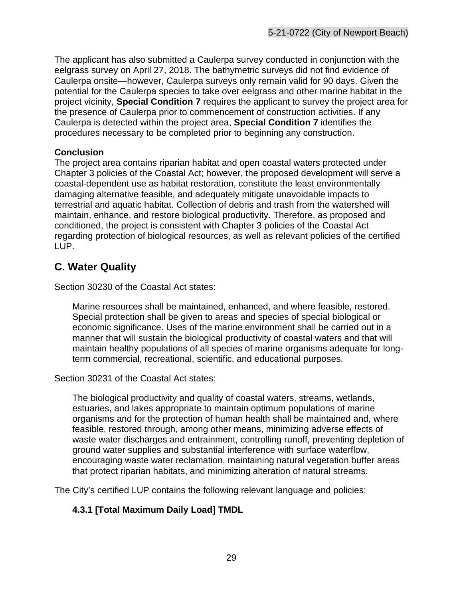The applicant has also submitted a Caulerpa survey conducted in conjunction with the eelgrass survey on April 27, 2018. The bathymetric surveys did not find evidence of Caulerpa onsite—however, Caulerpa surveys only remain valid for 90 days. Given the potential for the Caulerpa species to take over eelgrass and other marine habitat in the project vicinity, **Special Condition 7** requires the applicant to survey the project area for the presence of Caulerpa prior to commencement of construction activities. If any Caulerpa is detected within the project area, **Special Condition 7** identifies the procedures necessary to be completed prior to beginning any construction.

#### **Conclusion**

The project area contains riparian habitat and open coastal waters protected under Chapter 3 policies of the Coastal Act; however, the proposed development will serve a coastal-dependent use as habitat restoration, constitute the least environmentally damaging alternative feasible, and adequately mitigate unavoidable impacts to terrestrial and aquatic habitat. Collection of debris and trash from the watershed will maintain, enhance, and restore biological productivity. Therefore, as proposed and conditioned, the project is consistent with Chapter 3 policies of the Coastal Act regarding protection of biological resources, as well as relevant policies of the certified LUP.

## <span id="page-28-0"></span>**C. Water Quality**

Section 30230 of the Coastal Act states:

Marine resources shall be maintained, enhanced, and where feasible, restored. Special protection shall be given to areas and species of special biological or economic significance. Uses of the marine environment shall be carried out in a manner that will sustain the biological productivity of coastal waters and that will maintain healthy populations of all species of marine organisms adequate for longterm commercial, recreational, scientific, and educational purposes.

Section 30231 of the Coastal Act states:

The biological productivity and quality of coastal waters, streams, wetlands, estuaries, and lakes appropriate to maintain optimum populations of marine organisms and for the protection of human health shall be maintained and, where feasible, restored through, among other means, minimizing adverse effects of waste water discharges and entrainment, controlling runoff, preventing depletion of ground water supplies and substantial interference with surface waterflow, encouraging waste water reclamation, maintaining natural vegetation buffer areas that protect riparian habitats, and minimizing alteration of natural streams.

The City's certified LUP contains the following relevant language and policies:

#### **4.3.1 [Total Maximum Daily Load] TMDL**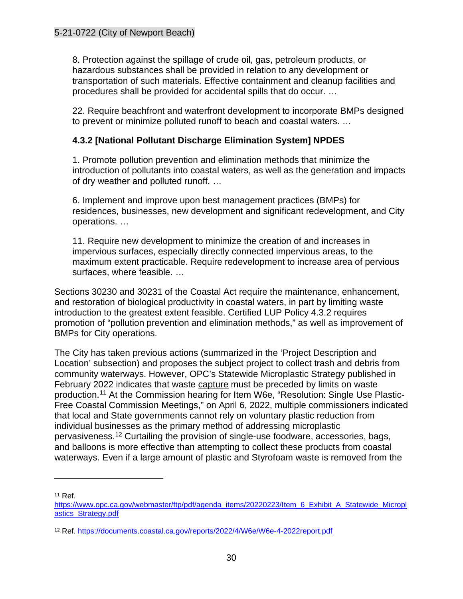8. Protection against the spillage of crude oil, gas, petroleum products, or hazardous substances shall be provided in relation to any development or transportation of such materials. Effective containment and cleanup facilities and procedures shall be provided for accidental spills that do occur. …

22. Require beachfront and waterfront development to incorporate BMPs designed to prevent or minimize polluted runoff to beach and coastal waters. …

#### **4.3.2 [National Pollutant Discharge Elimination System] NPDES**

1. Promote pollution prevention and elimination methods that minimize the introduction of pollutants into coastal waters, as well as the generation and impacts of dry weather and polluted runoff. …

6. Implement and improve upon best management practices (BMPs) for residences, businesses, new development and significant redevelopment, and City operations. …

11. Require new development to minimize the creation of and increases in impervious surfaces, especially directly connected impervious areas, to the maximum extent practicable. Require redevelopment to increase area of pervious surfaces, where feasible. …

Sections 30230 and 30231 of the Coastal Act require the maintenance, enhancement, and restoration of biological productivity in coastal waters, in part by limiting waste introduction to the greatest extent feasible. Certified LUP Policy 4.3.2 requires promotion of "pollution prevention and elimination methods," as well as improvement of BMPs for City operations.

The City has taken previous actions (summarized in the 'Project Description and Location' subsection) and proposes the subject project to collect trash and debris from community waterways. However, OPC's Statewide Microplastic Strategy published in February 2022 indicates that waste capture must be preceded by limits on waste production.<sup>[11](#page-29-0)</sup> At the Commission hearing for Item W6e, "Resolution: Single Use Plastic-Free Coastal Commission Meetings," on April 6, 2022, multiple commissioners indicated that local and State governments cannot rely on voluntary plastic reduction from individual businesses as the primary method of addressing microplastic pervasiveness.[12](#page-29-1) Curtailing the provision of single-use foodware, accessories, bags, and balloons is more effective than attempting to collect these products from coastal waterways. Even if a large amount of plastic and Styrofoam waste is removed from the

<span id="page-29-0"></span><sup>11</sup> Ref.

[https://www.opc.ca.gov/webmaster/ftp/pdf/agenda\\_items/20220223/Item\\_6\\_Exhibit\\_A\\_Statewide\\_Micropl](https://www.opc.ca.gov/webmaster/ftp/pdf/agenda_items/20220223/Item_6_Exhibit_A_Statewide_Microplastics_Strategy.pdf) [astics\\_Strategy.pdf](https://www.opc.ca.gov/webmaster/ftp/pdf/agenda_items/20220223/Item_6_Exhibit_A_Statewide_Microplastics_Strategy.pdf)

<span id="page-29-1"></span><sup>12</sup> Ref.<https://documents.coastal.ca.gov/reports/2022/4/W6e/W6e-4-2022report.pdf>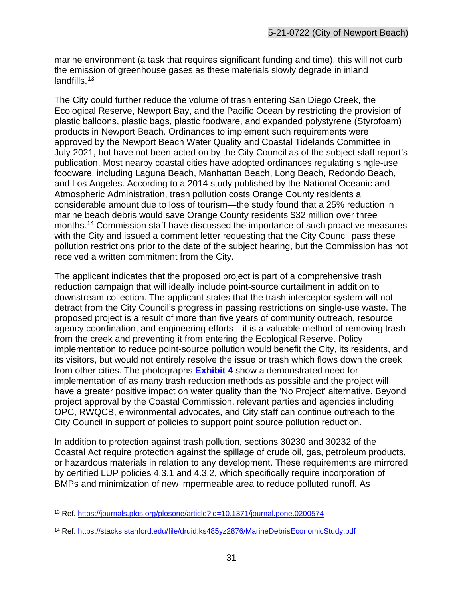marine environment (a task that requires significant funding and time), this will not curb the emission of greenhouse gases as these materials slowly degrade in inland landfills.<sup>[13](#page-30-0)</sup>

The City could further reduce the volume of trash entering San Diego Creek, the Ecological Reserve, Newport Bay, and the Pacific Ocean by restricting the provision of plastic balloons, plastic bags, plastic foodware, and expanded polystyrene (Styrofoam) products in Newport Beach. Ordinances to implement such requirements were approved by the Newport Beach Water Quality and Coastal Tidelands Committee in July 2021, but have not been acted on by the City Council as of the subject staff report's publication. Most nearby coastal cities have adopted ordinances regulating single-use foodware, including Laguna Beach, Manhattan Beach, Long Beach, Redondo Beach, and Los Angeles. According to a 2014 study published by the National Oceanic and Atmospheric Administration, trash pollution costs Orange County residents a considerable amount due to loss of tourism—the study found that a 25% reduction in marine beach debris would save Orange County residents \$32 million over three months.[14](#page-30-1) Commission staff have discussed the importance of such proactive measures with the City and issued a comment letter requesting that the City Council pass these pollution restrictions prior to the date of the subject hearing, but the Commission has not received a written commitment from the City.

The applicant indicates that the proposed project is part of a comprehensive trash reduction campaign that will ideally include point-source curtailment in addition to downstream collection. The applicant states that the trash interceptor system will not detract from the City Council's progress in passing restrictions on single-use waste. The proposed project is a result of more than five years of community outreach, resource agency coordination, and engineering efforts—it is a valuable method of removing trash from the creek and preventing it from entering the Ecological Reserve. Policy implementation to reduce point-source pollution would benefit the City, its residents, and its visitors, but would not entirely resolve the issue or trash which flows down the creek from other cities. The photographs **[Exhibit 4](https://documents.coastal.ca.gov/reports/2022/6/Th14a/Th14a-6-2022-exhibits.pdf)** show a demonstrated need for implementation of as many trash reduction methods as possible and the project will have a greater positive impact on water quality than the 'No Project' alternative. Beyond project approval by the Coastal Commission, relevant parties and agencies including OPC, RWQCB, environmental advocates, and City staff can continue outreach to the City Council in support of policies to support point source pollution reduction.

In addition to protection against trash pollution, sections 30230 and 30232 of the Coastal Act require protection against the spillage of crude oil, gas, petroleum products, or hazardous materials in relation to any development. These requirements are mirrored by certified LUP policies 4.3.1 and 4.3.2, which specifically require incorporation of BMPs and minimization of new impermeable area to reduce polluted runoff. As

<span id="page-30-0"></span><sup>13</sup> Ref.<https://journals.plos.org/plosone/article?id=10.1371/journal.pone.0200574>

<span id="page-30-1"></span><sup>14</sup> Ref.<https://stacks.stanford.edu/file/druid:ks485yz2876/MarineDebrisEconomicStudy.pdf>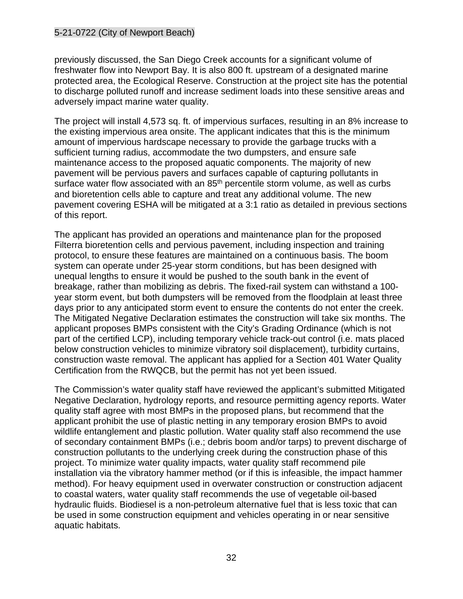previously discussed, the San Diego Creek accounts for a significant volume of freshwater flow into Newport Bay. It is also 800 ft. upstream of a designated marine protected area, the Ecological Reserve. Construction at the project site has the potential to discharge polluted runoff and increase sediment loads into these sensitive areas and adversely impact marine water quality.

The project will install 4,573 sq. ft. of impervious surfaces, resulting in an 8% increase to the existing impervious area onsite. The applicant indicates that this is the minimum amount of impervious hardscape necessary to provide the garbage trucks with a sufficient turning radius, accommodate the two dumpsters, and ensure safe maintenance access to the proposed aquatic components. The majority of new pavement will be pervious pavers and surfaces capable of capturing pollutants in surface water flow associated with an 85<sup>th</sup> percentile storm volume, as well as curbs and bioretention cells able to capture and treat any additional volume. The new pavement covering ESHA will be mitigated at a 3:1 ratio as detailed in previous sections of this report.

The applicant has provided an operations and maintenance plan for the proposed Filterra bioretention cells and pervious pavement, including inspection and training protocol, to ensure these features are maintained on a continuous basis. The boom system can operate under 25-year storm conditions, but has been designed with unequal lengths to ensure it would be pushed to the south bank in the event of breakage, rather than mobilizing as debris. The fixed-rail system can withstand a 100 year storm event, but both dumpsters will be removed from the floodplain at least three days prior to any anticipated storm event to ensure the contents do not enter the creek. The Mitigated Negative Declaration estimates the construction will take six months. The applicant proposes BMPs consistent with the City's Grading Ordinance (which is not part of the certified LCP), including temporary vehicle track-out control (i.e. mats placed below construction vehicles to minimize vibratory soil displacement), turbidity curtains, construction waste removal. The applicant has applied for a Section 401 Water Quality Certification from the RWQCB, but the permit has not yet been issued.

The Commission's water quality staff have reviewed the applicant's submitted Mitigated Negative Declaration, hydrology reports, and resource permitting agency reports. Water quality staff agree with most BMPs in the proposed plans, but recommend that the applicant prohibit the use of plastic netting in any temporary erosion BMPs to avoid wildlife entanglement and plastic pollution. Water quality staff also recommend the use of secondary containment BMPs (i.e.; debris boom and/or tarps) to prevent discharge of construction pollutants to the underlying creek during the construction phase of this project. To minimize water quality impacts, water quality staff recommend pile installation via the vibratory hammer method (or if this is infeasible, the impact hammer method). For heavy equipment used in overwater construction or construction adjacent to coastal waters, water quality staff recommends the use of vegetable oil-based hydraulic fluids. Biodiesel is a non-petroleum alternative fuel that is less toxic that can be used in some construction equipment and vehicles operating in or near sensitive aquatic habitats.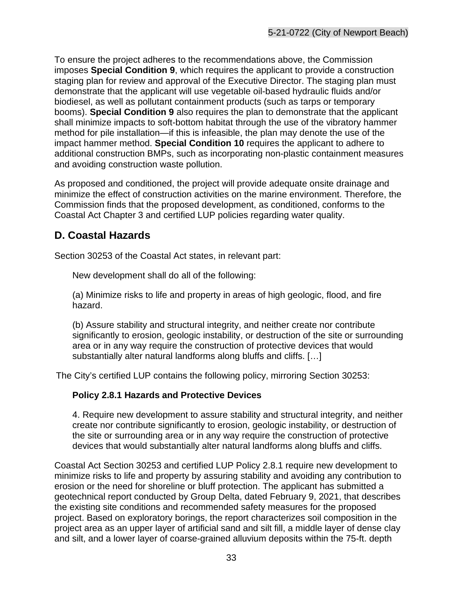To ensure the project adheres to the recommendations above, the Commission imposes **Special Condition 9**, which requires the applicant to provide a construction staging plan for review and approval of the Executive Director. The staging plan must demonstrate that the applicant will use vegetable oil-based hydraulic fluids and/or biodiesel, as well as pollutant containment products (such as tarps or temporary booms). **Special Condition 9** also requires the plan to demonstrate that the applicant shall minimize impacts to soft-bottom habitat through the use of the vibratory hammer method for pile installation—if this is infeasible, the plan may denote the use of the impact hammer method. **Special Condition 10** requires the applicant to adhere to additional construction BMPs, such as incorporating non-plastic containment measures and avoiding construction waste pollution.

As proposed and conditioned, the project will provide adequate onsite drainage and minimize the effect of construction activities on the marine environment. Therefore, the Commission finds that the proposed development, as conditioned, conforms to the Coastal Act Chapter 3 and certified LUP policies regarding water quality.

## <span id="page-32-0"></span>**D. Coastal Hazards**

Section 30253 of the Coastal Act states, in relevant part:

New development shall do all of the following:

(a) Minimize risks to life and property in areas of high geologic, flood, and fire hazard.

(b) Assure stability and structural integrity, and neither create nor contribute significantly to erosion, geologic instability, or destruction of the site or surrounding area or in any way require the construction of protective devices that would substantially alter natural landforms along bluffs and cliffs. [...]

The City's certified LUP contains the following policy, mirroring Section 30253:

#### **Policy 2.8.1 Hazards and Protective Devices**

4. Require new development to assure stability and structural integrity, and neither create nor contribute significantly to erosion, geologic instability, or destruction of the site or surrounding area or in any way require the construction of protective devices that would substantially alter natural landforms along bluffs and cliffs.

Coastal Act Section 30253 and certified LUP Policy 2.8.1 require new development to minimize risks to life and property by assuring stability and avoiding any contribution to erosion or the need for shoreline or bluff protection. The applicant has submitted a geotechnical report conducted by Group Delta, dated February 9, 2021, that describes the existing site conditions and recommended safety measures for the proposed project. Based on exploratory borings, the report characterizes soil composition in the project area as an upper layer of artificial sand and silt fill, a middle layer of dense clay and silt, and a lower layer of coarse-grained alluvium deposits within the 75-ft. depth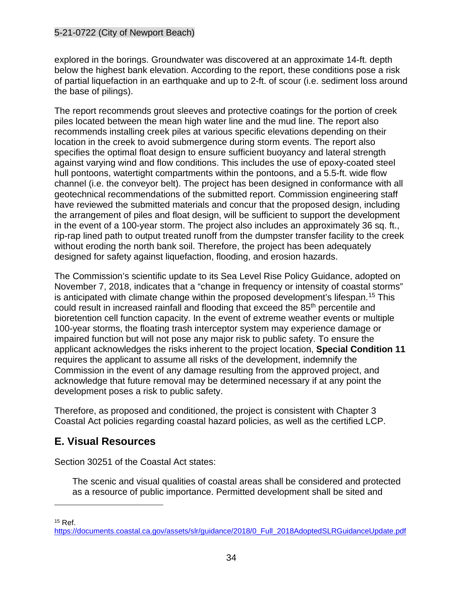explored in the borings. Groundwater was discovered at an approximate 14-ft. depth below the highest bank elevation. According to the report, these conditions pose a risk of partial liquefaction in an earthquake and up to 2-ft. of scour (i.e. sediment loss around the base of pilings).

The report recommends grout sleeves and protective coatings for the portion of creek piles located between the mean high water line and the mud line. The report also recommends installing creek piles at various specific elevations depending on their location in the creek to avoid submergence during storm events. The report also specifies the optimal float design to ensure sufficient buoyancy and lateral strength against varying wind and flow conditions. This includes the use of epoxy-coated steel hull pontoons, watertight compartments within the pontoons, and a 5.5-ft. wide flow channel (i.e. the conveyor belt). The project has been designed in conformance with all geotechnical recommendations of the submitted report. Commission engineering staff have reviewed the submitted materials and concur that the proposed design, including the arrangement of piles and float design, will be sufficient to support the development in the event of a 100-year storm. The project also includes an approximately 36 sq. ft., rip-rap lined path to output treated runoff from the dumpster transfer facility to the creek without eroding the north bank soil. Therefore, the project has been adequately designed for safety against liquefaction, flooding, and erosion hazards.

The Commission's scientific update to its Sea Level Rise Policy Guidance, adopted on November 7, 2018, indicates that a "change in frequency or intensity of coastal storms" is anticipated with climate change within the proposed development's lifespan.<sup>[15](#page-33-1)</sup> This could result in increased rainfall and flooding that exceed the 85th percentile and bioretention cell function capacity. In the event of extreme weather events or multiple 100-year storms, the floating trash interceptor system may experience damage or impaired function but will not pose any major risk to public safety. To ensure the applicant acknowledges the risks inherent to the project location, **Special Condition 11** requires the applicant to assume all risks of the development, indemnify the Commission in the event of any damage resulting from the approved project, and acknowledge that future removal may be determined necessary if at any point the development poses a risk to public safety.

Therefore, as proposed and conditioned, the project is consistent with Chapter 3 Coastal Act policies regarding coastal hazard policies, as well as the certified LCP.

## <span id="page-33-0"></span>**E. Visual Resources**

Section 30251 of the Coastal Act states:

The scenic and visual qualities of coastal areas shall be considered and protected as a resource of public importance. Permitted development shall be sited and

<span id="page-33-1"></span> $15$  Ref.

[https://documents.coastal.ca.gov/assets/slr/guidance/2018/0\\_Full\\_2018AdoptedSLRGuidanceUpdate.pdf](https://documents.coastal.ca.gov/assets/slr/guidance/2018/0_Full_2018AdoptedSLRGuidanceUpdate.pdf)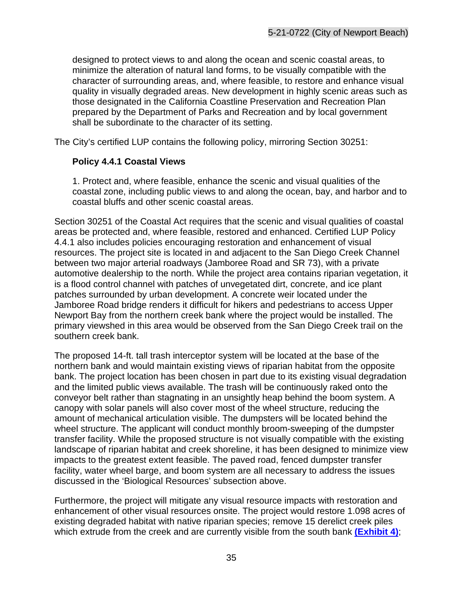designed to protect views to and along the ocean and scenic coastal areas, to minimize the alteration of natural land forms, to be visually compatible with the character of surrounding areas, and, where feasible, to restore and enhance visual quality in visually degraded areas. New development in highly scenic areas such as those designated in the California Coastline Preservation and Recreation Plan prepared by the Department of Parks and Recreation and by local government shall be subordinate to the character of its setting.

The City's certified LUP contains the following policy, mirroring Section 30251:

#### **Policy 4.4.1 Coastal Views**

1. Protect and, where feasible, enhance the scenic and visual qualities of the coastal zone, including public views to and along the ocean, bay, and harbor and to coastal bluffs and other scenic coastal areas.

Section 30251 of the Coastal Act requires that the scenic and visual qualities of coastal areas be protected and, where feasible, restored and enhanced. Certified LUP Policy 4.4.1 also includes policies encouraging restoration and enhancement of visual resources. The project site is located in and adjacent to the San Diego Creek Channel between two major arterial roadways (Jamboree Road and SR 73), with a private automotive dealership to the north. While the project area contains riparian vegetation, it is a flood control channel with patches of unvegetated dirt, concrete, and ice plant patches surrounded by urban development. A concrete weir located under the Jamboree Road bridge renders it difficult for hikers and pedestrians to access Upper Newport Bay from the northern creek bank where the project would be installed. The primary viewshed in this area would be observed from the San Diego Creek trail on the southern creek bank.

The proposed 14-ft. tall trash interceptor system will be located at the base of the northern bank and would maintain existing views of riparian habitat from the opposite bank. The project location has been chosen in part due to its existing visual degradation and the limited public views available. The trash will be continuously raked onto the conveyor belt rather than stagnating in an unsightly heap behind the boom system. A canopy with solar panels will also cover most of the wheel structure, reducing the amount of mechanical articulation visible. The dumpsters will be located behind the wheel structure. The applicant will conduct monthly broom-sweeping of the dumpster transfer facility. While the proposed structure is not visually compatible with the existing landscape of riparian habitat and creek shoreline, it has been designed to minimize view impacts to the greatest extent feasible. The paved road, fenced dumpster transfer facility, water wheel barge, and boom system are all necessary to address the issues discussed in the 'Biological Resources' subsection above.

Furthermore, the project will mitigate any visual resource impacts with restoration and enhancement of other visual resources onsite. The project would restore 1.098 acres of existing degraded habitat with native riparian species; remove 15 derelict creek piles which extrude from the creek and are currently visible from the south bank **[\(Exhibit 4\)](https://documents.coastal.ca.gov/reports/2022/6/Th14a/Th14a-6-2022-exhibits.pdf)**;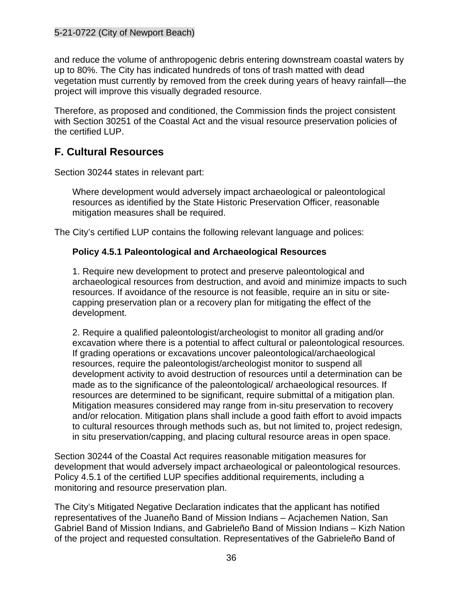and reduce the volume of anthropogenic debris entering downstream coastal waters by up to 80%. The City has indicated hundreds of tons of trash matted with dead vegetation must currently by removed from the creek during years of heavy rainfall—the project will improve this visually degraded resource.

Therefore, as proposed and conditioned, the Commission finds the project consistent with Section 30251 of the Coastal Act and the visual resource preservation policies of the certified LUP.

## <span id="page-35-0"></span>**F. Cultural Resources**

Section 30244 states in relevant part:

Where development would adversely impact archaeological or paleontological resources as identified by the State Historic Preservation Officer, reasonable mitigation measures shall be required.

The City's certified LUP contains the following relevant language and polices:

#### **Policy 4.5.1 Paleontological and Archaeological Resources**

1. Require new development to protect and preserve paleontological and archaeological resources from destruction, and avoid and minimize impacts to such resources. If avoidance of the resource is not feasible, require an in situ or sitecapping preservation plan or a recovery plan for mitigating the effect of the development.

2. Require a qualified paleontologist/archeologist to monitor all grading and/or excavation where there is a potential to affect cultural or paleontological resources. If grading operations or excavations uncover paleontological/archaeological resources, require the paleontologist/archeologist monitor to suspend all development activity to avoid destruction of resources until a determination can be made as to the significance of the paleontological/ archaeological resources. If resources are determined to be significant, require submittal of a mitigation plan. Mitigation measures considered may range from in-situ preservation to recovery and/or relocation. Mitigation plans shall include a good faith effort to avoid impacts to cultural resources through methods such as, but not limited to, project redesign, in situ preservation/capping, and placing cultural resource areas in open space.

Section 30244 of the Coastal Act requires reasonable mitigation measures for development that would adversely impact archaeological or paleontological resources. Policy 4.5.1 of the certified LUP specifies additional requirements, including a monitoring and resource preservation plan.

The City's Mitigated Negative Declaration indicates that the applicant has notified representatives of the Juaneño Band of Mission Indians – Acjachemen Nation, San Gabriel Band of Mission Indians, and Gabrieleño Band of Mission Indians – Kizh Nation of the project and requested consultation. Representatives of the Gabrieleño Band of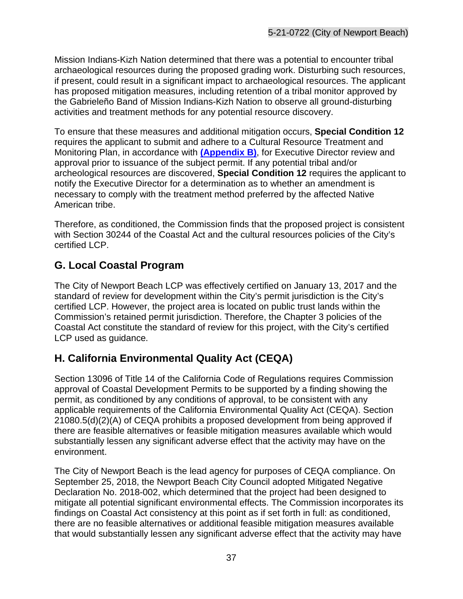Mission Indians-Kizh Nation determined that there was a potential to encounter tribal archaeological resources during the proposed grading work. Disturbing such resources, if present, could result in a significant impact to archaeological resources. The applicant has proposed mitigation measures, including retention of a tribal monitor approved by the Gabrieleño Band of Mission Indians-Kizh Nation to observe all ground-disturbing activities and treatment methods for any potential resource discovery.

To ensure that these measures and additional mitigation occurs, **Special Condition 12** requires the applicant to submit and adhere to a Cultural Resource Treatment and Monitoring Plan, in accordance with **[\(Appendix B\)](#page-39-0)**, for Executive Director review and approval prior to issuance of the subject permit. If any potential tribal and/or archeological resources are discovered, **Special Condition 12** requires the applicant to notify the Executive Director for a determination as to whether an amendment is necessary to comply with the treatment method preferred by the affected Native American tribe.

Therefore, as conditioned, the Commission finds that the proposed project is consistent with Section 30244 of the Coastal Act and the cultural resources policies of the City's certified LCP.

# <span id="page-36-0"></span>**G. Local Coastal Program**

The City of Newport Beach LCP was effectively certified on January 13, 2017 and the standard of review for development within the City's permit jurisdiction is the City's certified LCP. However, the project area is located on public trust lands within the Commission's retained permit jurisdiction. Therefore, the Chapter 3 policies of the Coastal Act constitute the standard of review for this project, with the City's certified LCP used as guidance.

## <span id="page-36-1"></span>**H. California Environmental Quality Act (CEQA)**

Section 13096 of Title 14 of the California Code of Regulations requires Commission approval of Coastal Development Permits to be supported by a finding showing the permit, as conditioned by any conditions of approval, to be consistent with any applicable requirements of the California Environmental Quality Act (CEQA). Section 21080.5(d)(2)(A) of CEQA prohibits a proposed development from being approved if there are feasible alternatives or feasible mitigation measures available which would substantially lessen any significant adverse effect that the activity may have on the environment.

The City of Newport Beach is the lead agency for purposes of CEQA compliance. On September 25, 2018, the Newport Beach City Council adopted Mitigated Negative Declaration No. 2018-002, which determined that the project had been designed to mitigate all potential significant environmental effects. The Commission incorporates its findings on Coastal Act consistency at this point as if set forth in full: as conditioned, there are no feasible alternatives or additional feasible mitigation measures available that would substantially lessen any significant adverse effect that the activity may have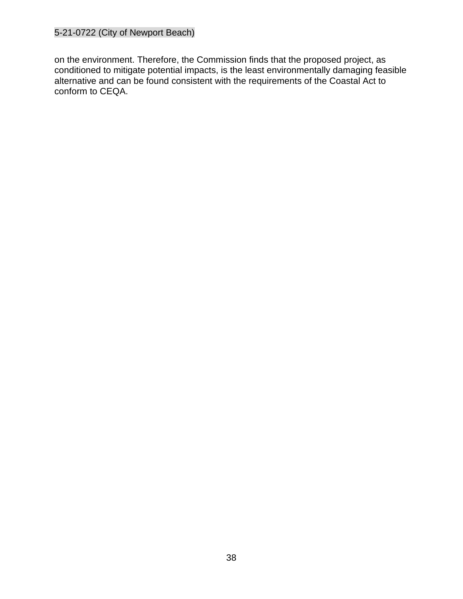on the environment. Therefore, the Commission finds that the proposed project, as conditioned to mitigate potential impacts, is the least environmentally damaging feasible alternative and can be found consistent with the requirements of the Coastal Act to conform to CEQA.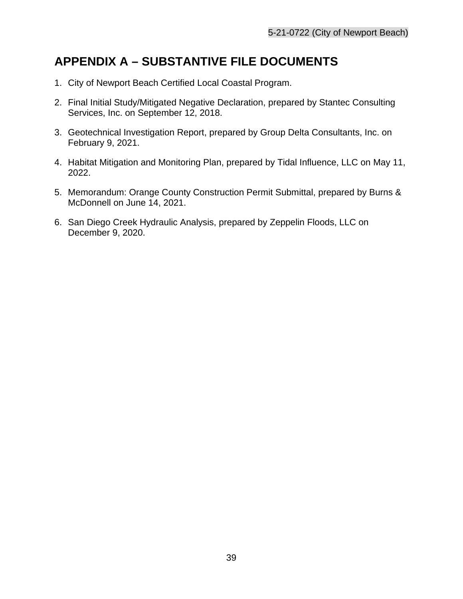# <span id="page-38-0"></span>**APPENDIX A – SUBSTANTIVE FILE DOCUMENTS**

- 1. City of Newport Beach Certified Local Coastal Program.
- 2. Final Initial Study/Mitigated Negative Declaration, prepared by Stantec Consulting Services, Inc. on September 12, 2018.
- 3. Geotechnical Investigation Report, prepared by Group Delta Consultants, Inc. on February 9, 2021.
- 4. Habitat Mitigation and Monitoring Plan, prepared by Tidal Influence, LLC on May 11, 2022.
- 5. Memorandum: Orange County Construction Permit Submittal, prepared by Burns & McDonnell on June 14, 2021.
- 6. San Diego Creek Hydraulic Analysis, prepared by Zeppelin Floods, LLC on December 9, 2020.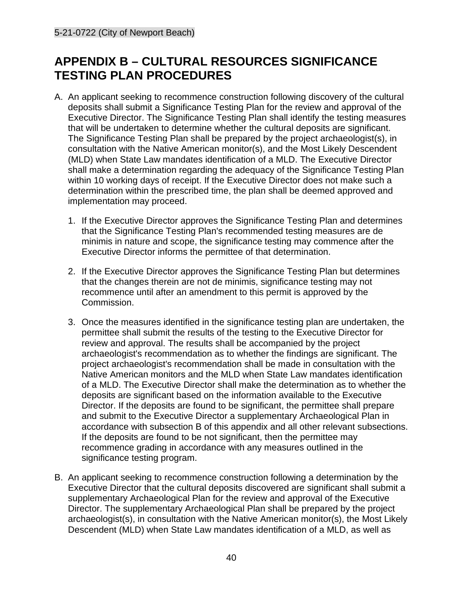# <span id="page-39-0"></span>**APPENDIX B – CULTURAL RESOURCES SIGNIFICANCE TESTING PLAN PROCEDURES**

- A. An applicant seeking to recommence construction following discovery of the cultural deposits shall submit a Significance Testing Plan for the review and approval of the Executive Director. The Significance Testing Plan shall identify the testing measures that will be undertaken to determine whether the cultural deposits are significant. The Significance Testing Plan shall be prepared by the project archaeologist(s), in consultation with the Native American monitor(s), and the Most Likely Descendent (MLD) when State Law mandates identification of a MLD. The Executive Director shall make a determination regarding the adequacy of the Significance Testing Plan within 10 working days of receipt. If the Executive Director does not make such a determination within the prescribed time, the plan shall be deemed approved and implementation may proceed.
	- 1. If the Executive Director approves the Significance Testing Plan and determines that the Significance Testing Plan's recommended testing measures are de minimis in nature and scope, the significance testing may commence after the Executive Director informs the permittee of that determination.
	- 2. If the Executive Director approves the Significance Testing Plan but determines that the changes therein are not de minimis, significance testing may not recommence until after an amendment to this permit is approved by the Commission.
	- 3. Once the measures identified in the significance testing plan are undertaken, the permittee shall submit the results of the testing to the Executive Director for review and approval. The results shall be accompanied by the project archaeologist's recommendation as to whether the findings are significant. The project archaeologist's recommendation shall be made in consultation with the Native American monitors and the MLD when State Law mandates identification of a MLD. The Executive Director shall make the determination as to whether the deposits are significant based on the information available to the Executive Director. If the deposits are found to be significant, the permittee shall prepare and submit to the Executive Director a supplementary Archaeological Plan in accordance with subsection B of this appendix and all other relevant subsections. If the deposits are found to be not significant, then the permittee may recommence grading in accordance with any measures outlined in the significance testing program.
- B. An applicant seeking to recommence construction following a determination by the Executive Director that the cultural deposits discovered are significant shall submit a supplementary Archaeological Plan for the review and approval of the Executive Director. The supplementary Archaeological Plan shall be prepared by the project archaeologist(s), in consultation with the Native American monitor(s), the Most Likely Descendent (MLD) when State Law mandates identification of a MLD, as well as